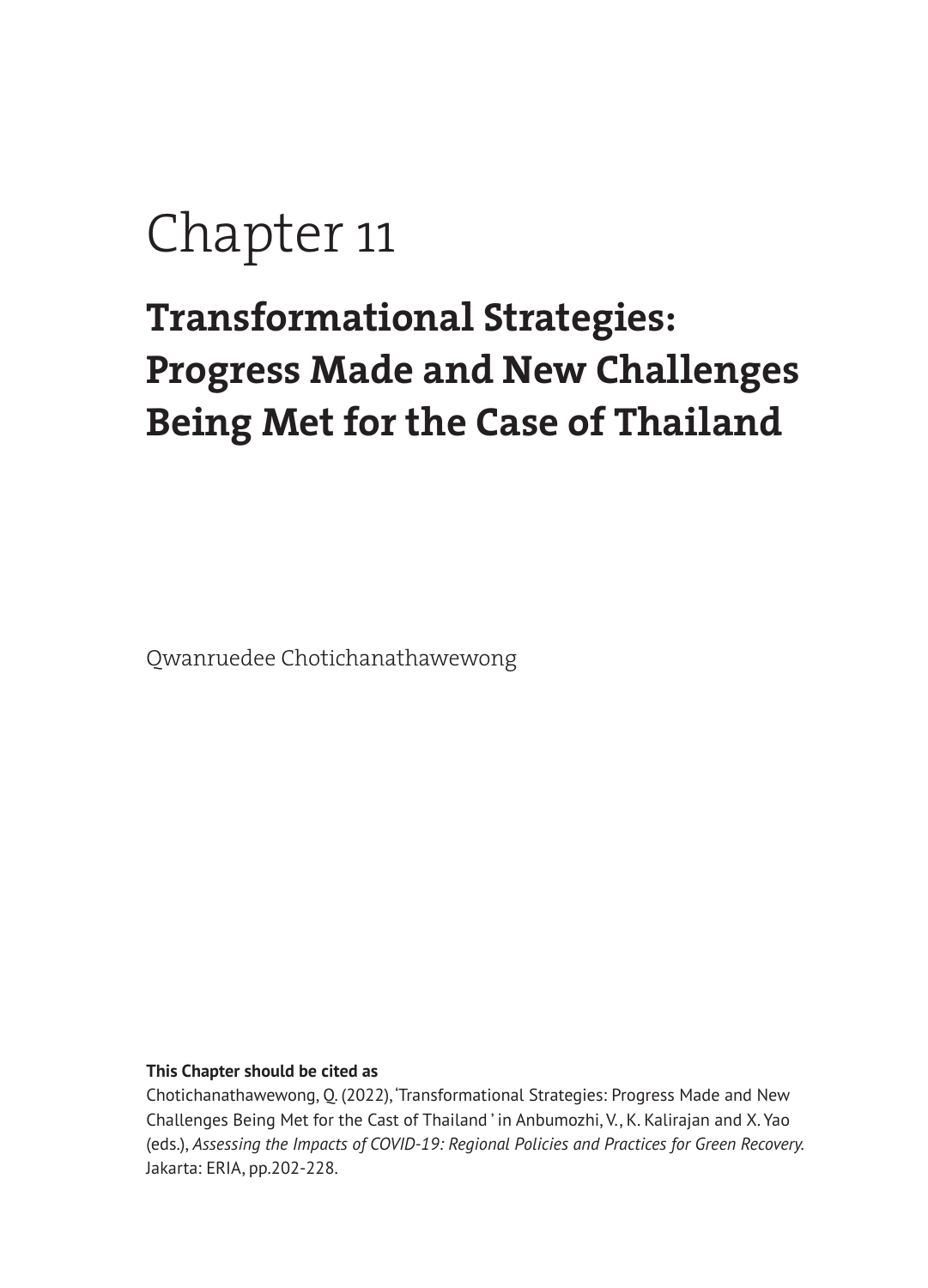# Chapter 11

## **Transformational Strategies: Progress Made and New Challenges Being Met for the Case of Thailand**

Qwanruedee Chotichanathawewong

#### **This Chapter should be cited as**

Chotichanathawewong, Q. (2022), 'Transformational Strategies: Progress Made and New Challenges Being Met for the Cast of Thailand ' in Anbumozhi, V., K. Kalirajan and X. Yao (eds.), *Assessing the Impacts of COVID-19: Regional Policies and Practices for Green Recovery.*  Jakarta: ERIA, pp.202-228.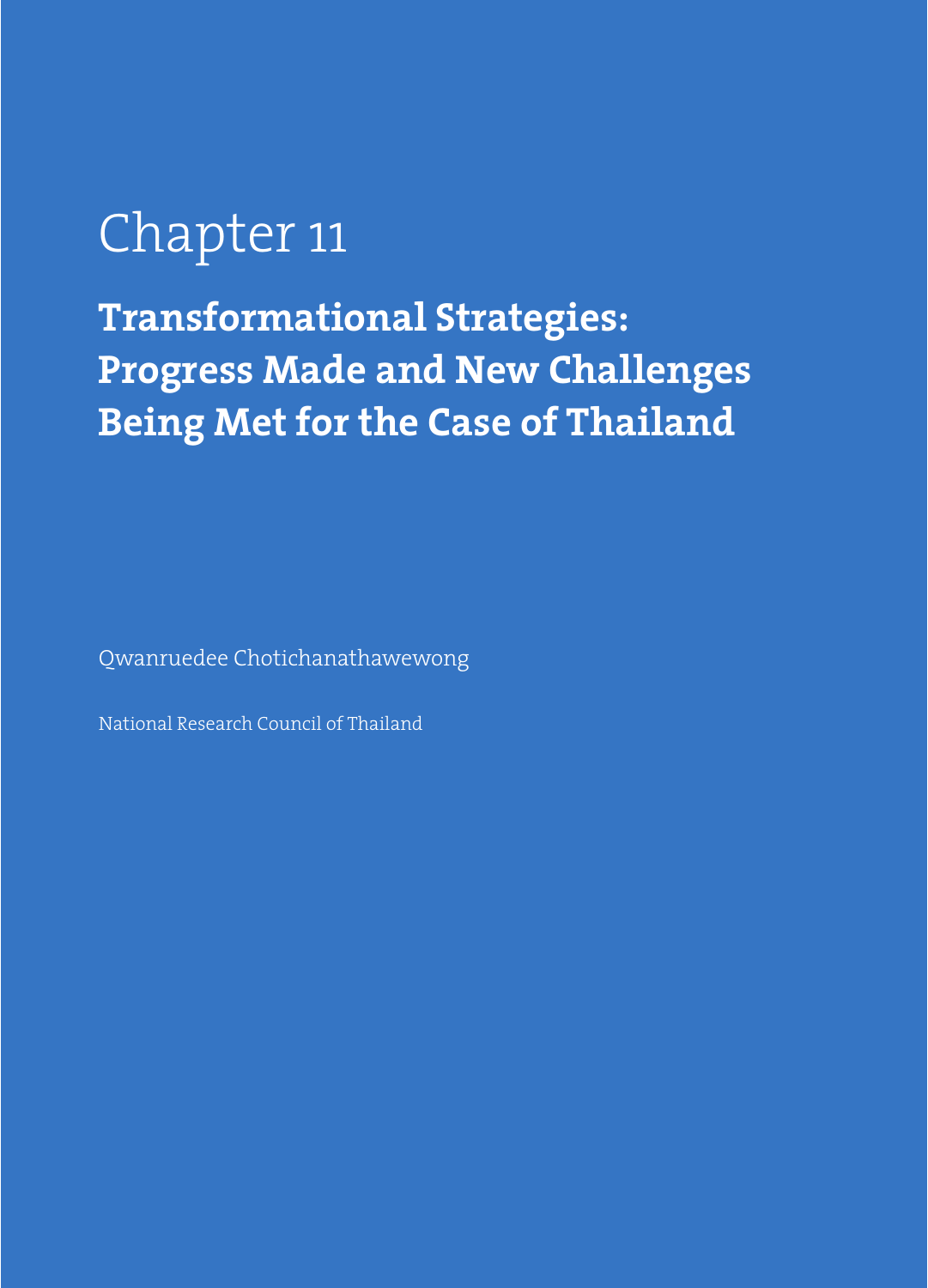# Chapter 11

**Transformational Strategies: Progress Made and New Challenges Being Met for the Case of Thailand**

Qwanruedee Chotichanathawewong

National Research Council of Thailand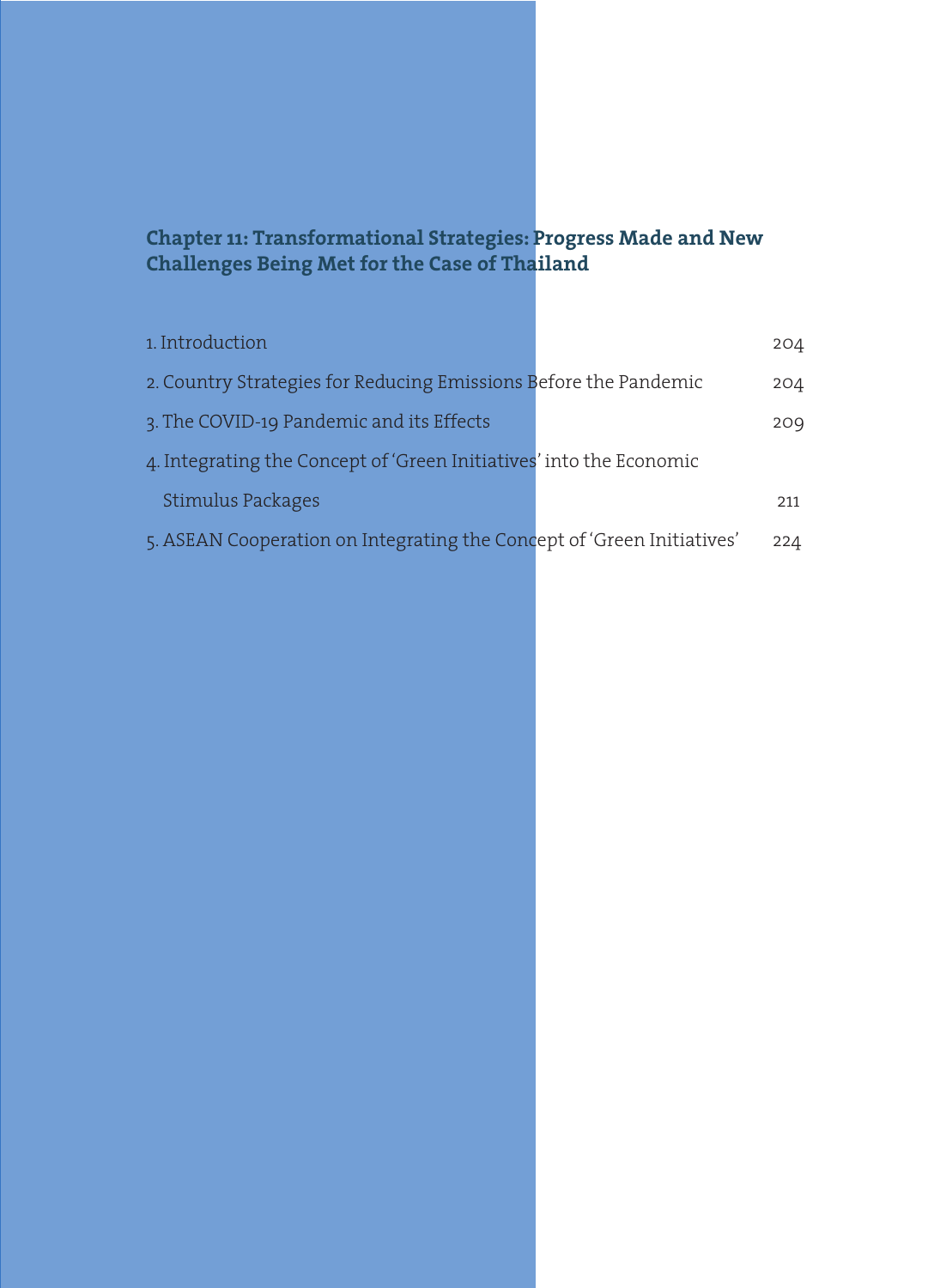## **Chapter 11: Transformational Strategies: Progress Made and New Challenges Being Met for the Case of Thailand**

| 1. Introduction                                                        | 204 |
|------------------------------------------------------------------------|-----|
| 2. Country Strategies for Reducing Emissions Before the Pandemic       | 204 |
| 3. The COVID-19 Pandemic and its Effects                               | 209 |
| 4. Integrating the Concept of 'Green Initiatives' into the Economic    |     |
| Stimulus Packages                                                      | 211 |
| 5. ASEAN Cooperation on Integrating the Concept of 'Green Initiatives' | 224 |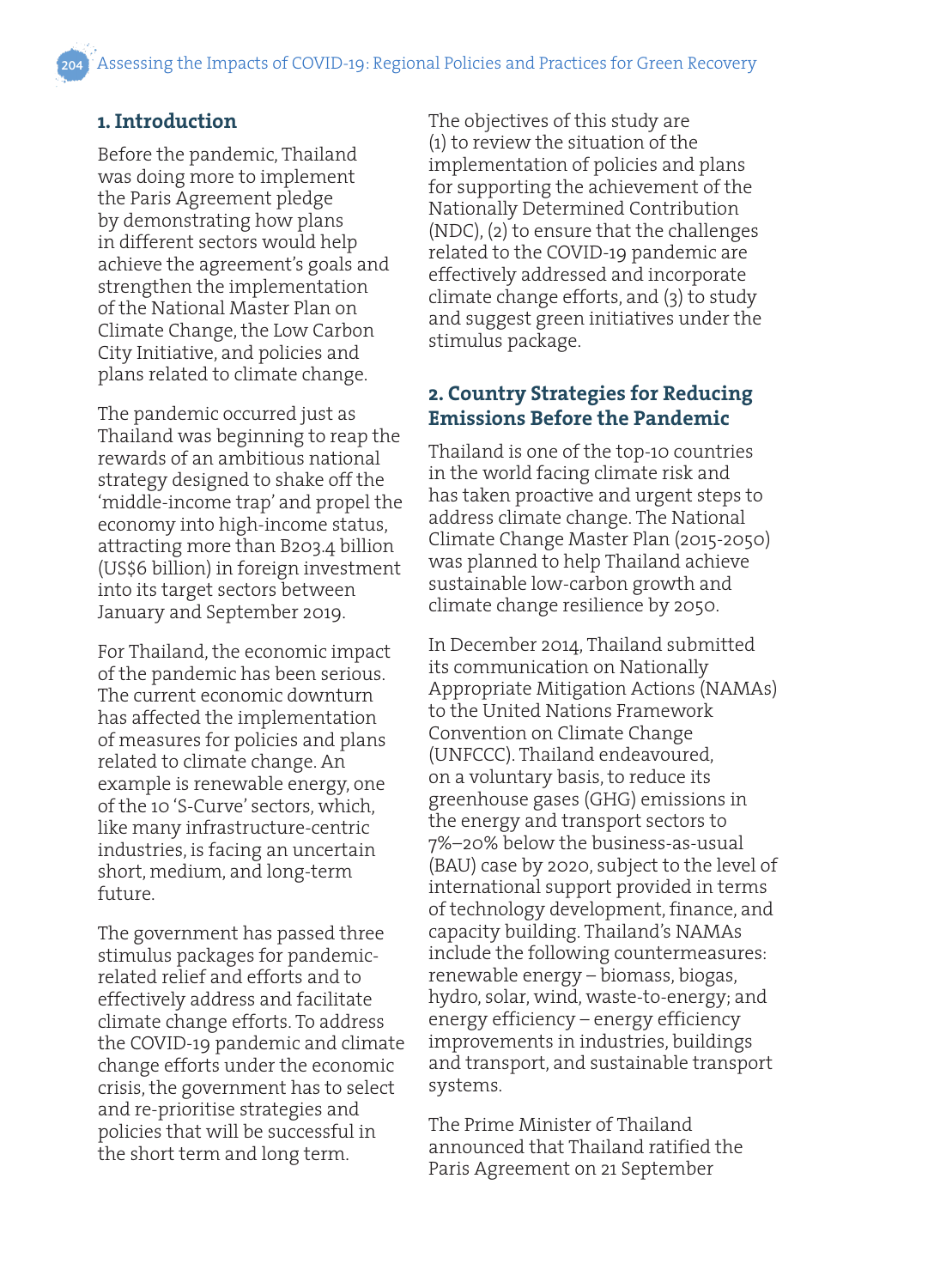## **1. Introduction**

Before the pandemic, Thailand was doing more to implement the Paris Agreement pledge by demonstrating how plans in different sectors would help achieve the agreement's goals and strengthen the implementation of the National Master Plan on Climate Change, the Low Carbon City Initiative, and policies and plans related to climate change.

The pandemic occurred just as Thailand was beginning to reap the rewards of an ambitious national strategy designed to shake off the 'middle-income trap' and propel the economy into high-income status, attracting more than B203.4 billion (US\$6 billion) in foreign investment into its target sectors between January and September 2019.

For Thailand, the economic impact of the pandemic has been serious. The current economic downturn has affected the implementation of measures for policies and plans related to climate change. An example is renewable energy, one of the 10 'S-Curve' sectors, which, like many infrastructure-centric industries, is facing an uncertain short, medium, and long-term future.

The government has passed three stimulus packages for pandemicrelated relief and efforts and to effectively address and facilitate climate change efforts. To address the COVID-19 pandemic and climate change efforts under the economic crisis, the government has to select and re-prioritise strategies and policies that will be successful in the short term and long term.

The objectives of this study are (1) to review the situation of the implementation of policies and plans for supporting the achievement of the Nationally Determined Contribution (NDC), (2) to ensure that the challenges related to the COVID-19 pandemic are effectively addressed and incorporate climate change efforts, and (3) to study and suggest green initiatives under the stimulus package.

#### **2. Country Strategies for Reducing Emissions Before the Pandemic**

Thailand is one of the top-10 countries in the world facing climate risk and has taken proactive and urgent steps to address climate change. The National Climate Change Master Plan (2015-2050) was planned to help Thailand achieve sustainable low-carbon growth and climate change resilience by 2050.

In December 2014, Thailand submitted its communication on Nationally Appropriate Mitigation Actions (NAMAs) to the United Nations Framework Convention on Climate Change (UNFCCC). Thailand endeavoured, on a voluntary basis, to reduce its greenhouse gases (GHG) emissions in the energy and transport sectors to 7%–20% below the business-as-usual (BAU) case by 2020, subject to the level of international support provided in terms of technology development, finance, and capacity building. Thailand's NAMAs include the following countermeasures: renewable energy – biomass, biogas, hydro, solar, wind, waste-to-energy; and energy efficiency – energy efficiency improvements in industries, buildings and transport, and sustainable transport systems.

The Prime Minister of Thailand announced that Thailand ratified the Paris Agreement on 21 September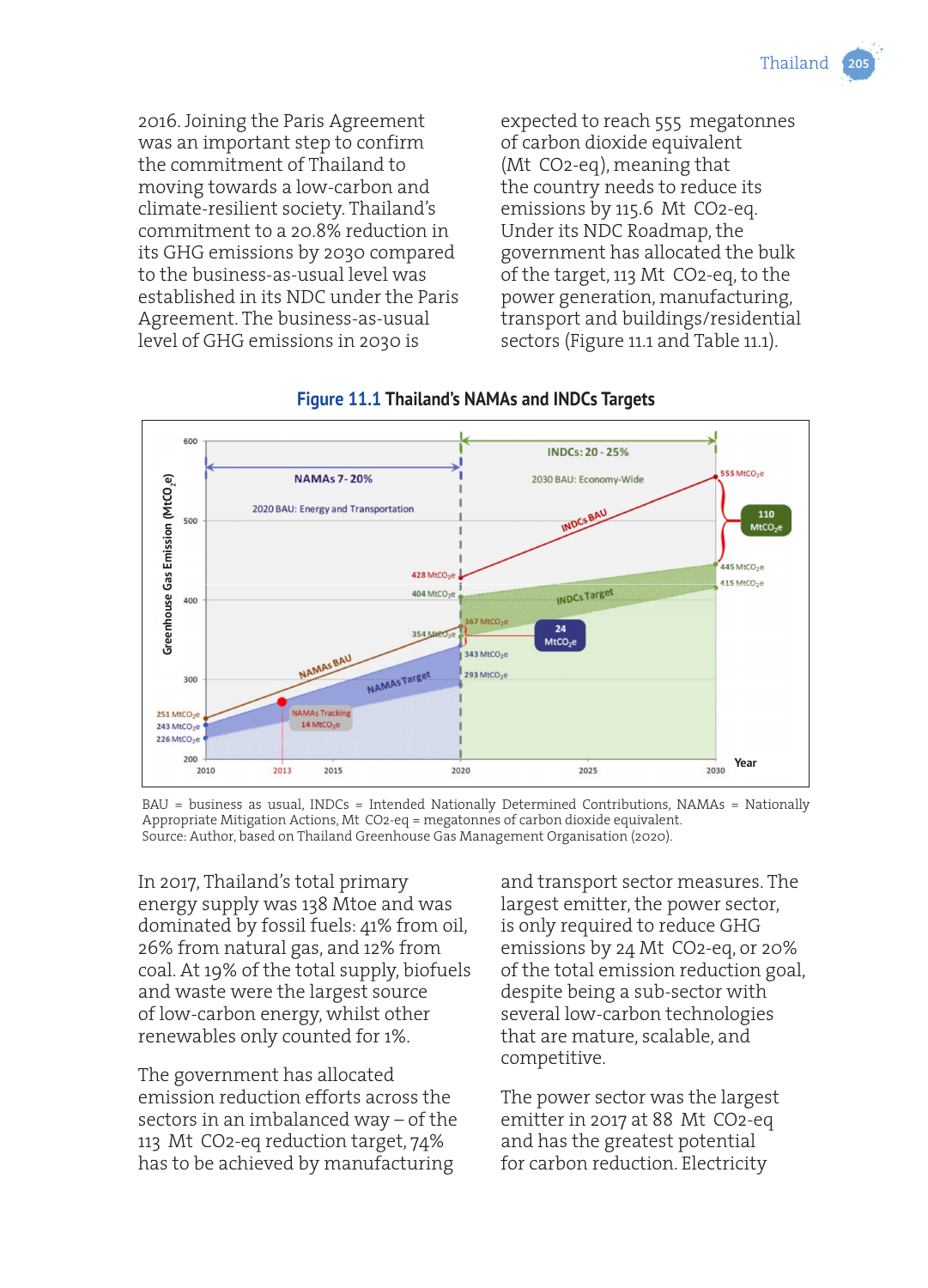

2016. Joining the Paris Agreement was an important step to confirm the commitment of Thailand to moving towards a low-carbon and climate-resilient society. Thailand's commitment to a 20.8% reduction in its GHG emissions by 2030 compared to the business-as-usual level was established in its NDC under the Paris Agreement. The business-as-usual level of GHG emissions in 2030 is

expected to reach 555 megatonnes of carbon dioxide equivalent (Mt CO2-eq), meaning that the country needs to reduce its emissions by 115.6 Mt CO2-eq. Under its NDC Roadmap, the government has allocated the bulk of the target, 113 Mt CO2-eq, to the power generation, manufacturing, transport and buildings/residential sectors (Figure 11.1 and Table 11.1).



#### **Figure 11.1 Thailand's NAMAs and INDCs Targets**

BAU = business as usual, INDCs = Intended Nationally Determined Contributions, NAMAs = Nationally Appropriate Mitigation Actions, Mt CO2-eq = megatonnes of carbon dioxide equivalent. Source: Author, based on Thailand Greenhouse Gas Management Organisation (2020).

In 2017, Thailand's total primary energy supply was 138 Mtoe and was dominated by fossil fuels: 41% from oil, 26% from natural gas, and 12% from coal. At 19% of the total supply, biofuels and waste were the largest source of low-carbon energy, whilst other renewables only counted for 1%.

The government has allocated emission reduction efforts across the sectors in an imbalanced way – of the 113 Mt CO2-eq reduction target, 74% has to be achieved by manufacturing

and transport sector measures. The largest emitter, the power sector, is only required to reduce GHG emissions by 24 Mt CO2-eq, or 20% of the total emission reduction goal, despite being a sub-sector with several low-carbon technologies that are mature, scalable, and competitive.

The power sector was the largest emitter in 2017 at 88 Mt CO2-eq and has the greatest potential for carbon reduction. Electricity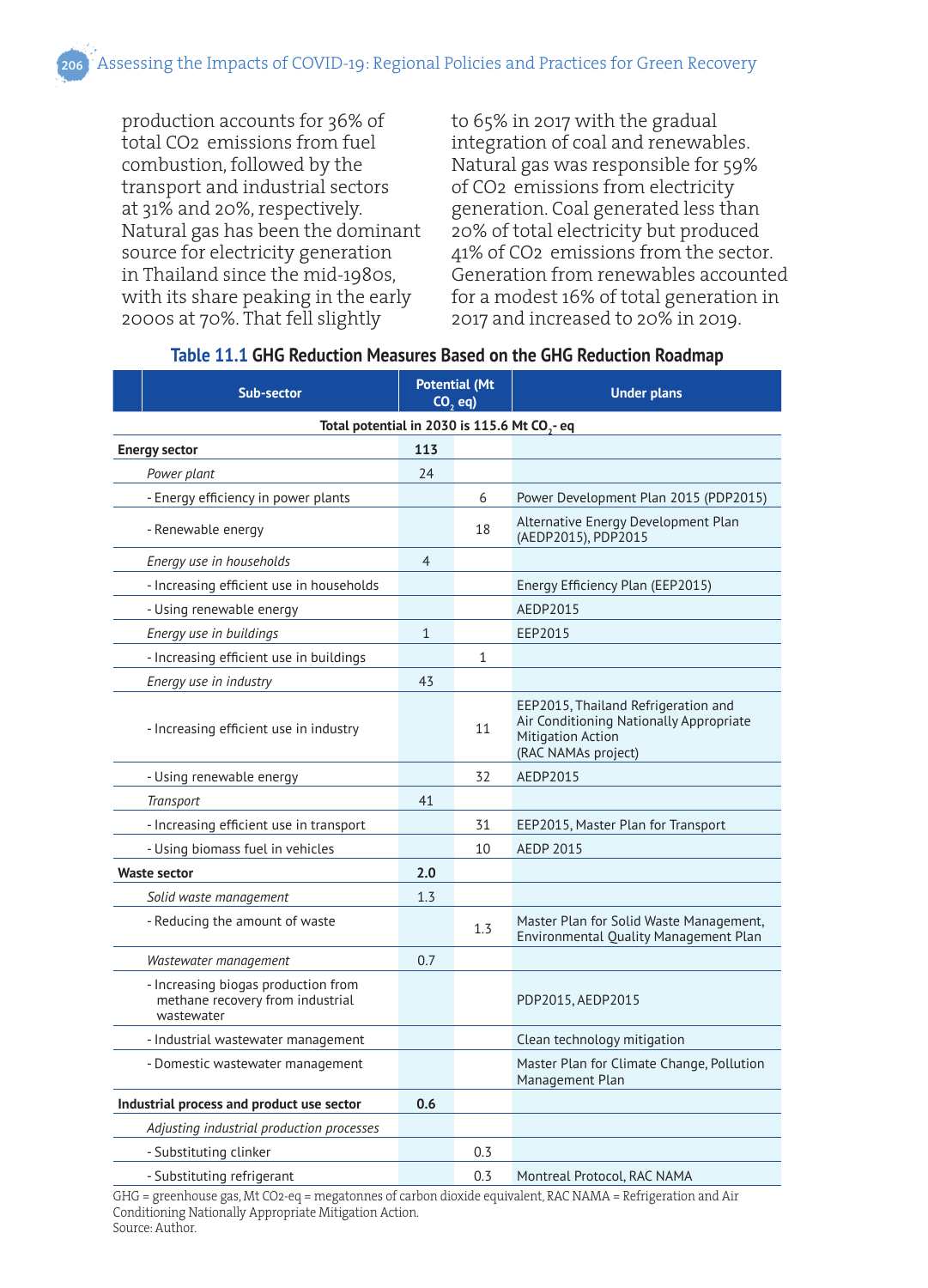production accounts for 36% of total CO2 emissions from fuel combustion, followed by the transport and industrial sectors at 31% and 20%, respectively. Natural gas has been the dominant source for electricity generation in Thailand since the mid-1980s, with its share peaking in the early 2000s at 70%. That fell slightly

to 65% in 2017 with the gradual integration of coal and renewables. Natural gas was responsible for 59% of CO2 emissions from electricity generation. Coal generated less than 20% of total electricity but produced 41% of CO2 emissions from the sector. Generation from renewables accounted for a modest 16% of total generation in 2017 and increased to 20% in 2019.

| Sub-sector                                                                            | <b>Potential (Mt</b><br>$CO$ , eq) |              | <b>Under plans</b>                                                                                                                |  |  |  |  |
|---------------------------------------------------------------------------------------|------------------------------------|--------------|-----------------------------------------------------------------------------------------------------------------------------------|--|--|--|--|
| Total potential in 2030 is 115.6 Mt CO <sub>2</sub> -eq                               |                                    |              |                                                                                                                                   |  |  |  |  |
| <b>Energy sector</b>                                                                  | 113                                |              |                                                                                                                                   |  |  |  |  |
| Power plant                                                                           | 24                                 |              |                                                                                                                                   |  |  |  |  |
| - Energy efficiency in power plants                                                   |                                    | 6            | Power Development Plan 2015 (PDP2015)                                                                                             |  |  |  |  |
| - Renewable energy                                                                    |                                    | 18           | Alternative Energy Development Plan<br>(AEDP2015), PDP2015                                                                        |  |  |  |  |
| Energy use in households                                                              | $\overline{4}$                     |              |                                                                                                                                   |  |  |  |  |
| - Increasing efficient use in households                                              |                                    |              | Energy Efficiency Plan (EEP2015)                                                                                                  |  |  |  |  |
| - Using renewable energy                                                              |                                    |              | AEDP2015                                                                                                                          |  |  |  |  |
| Energy use in buildings                                                               | $\mathbf{1}$                       |              | EEP2015                                                                                                                           |  |  |  |  |
| - Increasing efficient use in buildings                                               |                                    | $\mathbf{1}$ |                                                                                                                                   |  |  |  |  |
| Energy use in industry                                                                | 43                                 |              |                                                                                                                                   |  |  |  |  |
| - Increasing efficient use in industry                                                |                                    | 11           | EEP2015, Thailand Refrigeration and<br>Air Conditioning Nationally Appropriate<br><b>Mitigation Action</b><br>(RAC NAMAs project) |  |  |  |  |
| - Using renewable energy                                                              |                                    | 32           | AEDP2015                                                                                                                          |  |  |  |  |
| Transport                                                                             | 41                                 |              |                                                                                                                                   |  |  |  |  |
| - Increasing efficient use in transport                                               |                                    | 31           | EEP2015, Master Plan for Transport                                                                                                |  |  |  |  |
| - Using biomass fuel in vehicles                                                      |                                    | 10           | <b>AEDP 2015</b>                                                                                                                  |  |  |  |  |
| <b>Waste sector</b>                                                                   |                                    |              |                                                                                                                                   |  |  |  |  |
| Solid waste management                                                                | 1.3                                |              |                                                                                                                                   |  |  |  |  |
| - Reducing the amount of waste                                                        |                                    | 1.3          | Master Plan for Solid Waste Management,<br>Environmental Quality Management Plan                                                  |  |  |  |  |
| Wastewater management                                                                 | 0.7                                |              |                                                                                                                                   |  |  |  |  |
| - Increasing biogas production from<br>methane recovery from industrial<br>wastewater |                                    |              | PDP2015, AEDP2015                                                                                                                 |  |  |  |  |
| - Industrial wastewater management                                                    |                                    |              | Clean technology mitigation                                                                                                       |  |  |  |  |
| - Domestic wastewater management                                                      |                                    |              | Master Plan for Climate Change, Pollution<br>Management Plan                                                                      |  |  |  |  |
| Industrial process and product use sector                                             |                                    |              |                                                                                                                                   |  |  |  |  |
| Adjusting industrial production processes                                             |                                    |              |                                                                                                                                   |  |  |  |  |
| - Substituting clinker                                                                |                                    | 0.3          |                                                                                                                                   |  |  |  |  |
| - Substituting refrigerant                                                            |                                    | 0.3          | Montreal Protocol, RAC NAMA                                                                                                       |  |  |  |  |

#### **Table 11.1 GHG Reduction Measures Based on the GHG Reduction Roadmap**

GHG = greenhouse gas, Mt CO2-eq = megatonnes of carbon dioxide equivalent, RAC NAMA = Refrigeration and Air Conditioning Nationally Appropriate Mitigation Action. Source: Author.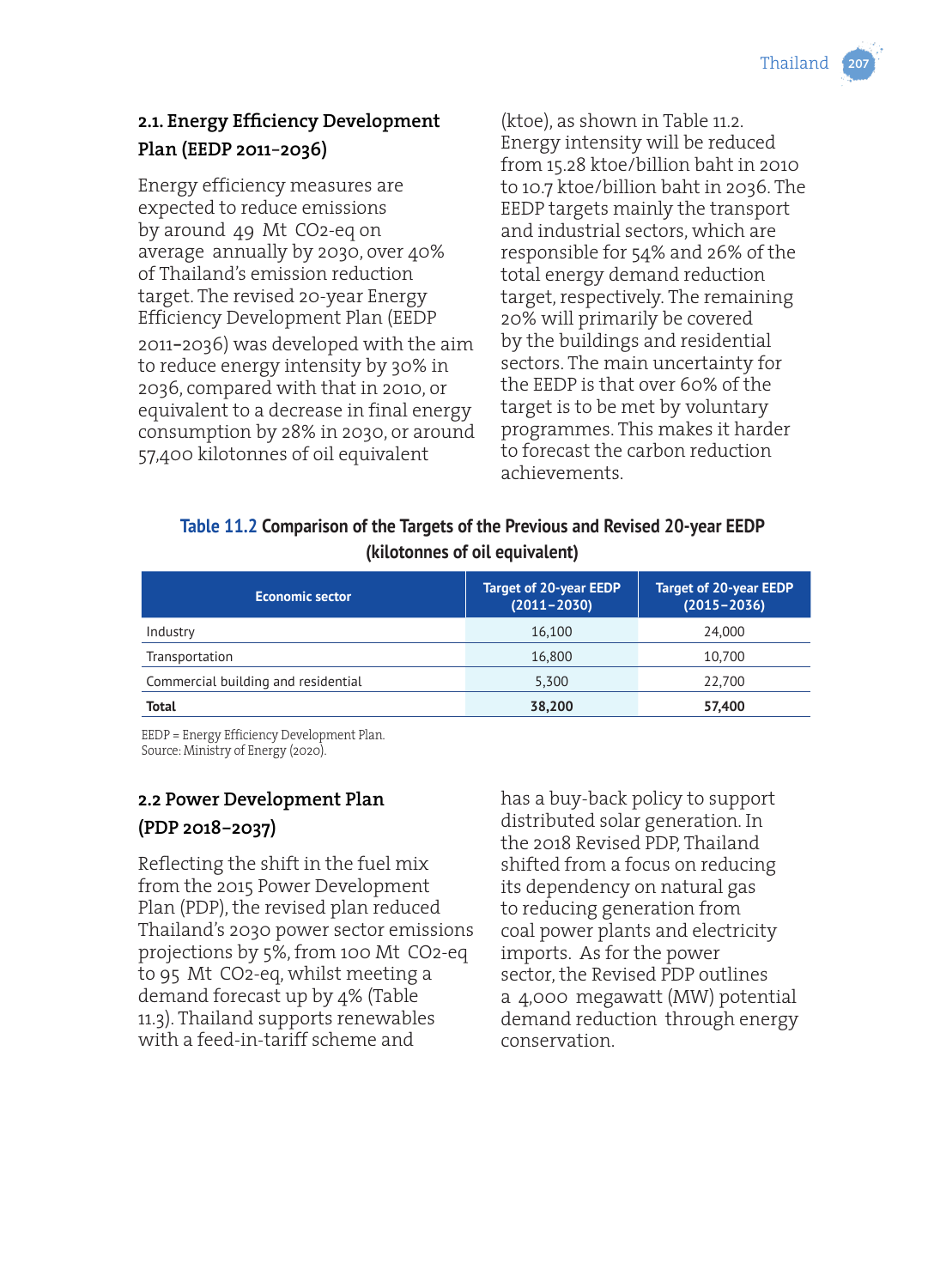Thailand

## **2.1. Energy Efficiency Development Plan (EEDP 2011**–**2036)**

Energy efficiency measures are expected to reduce emissions by around 49 Mt CO2-eq on average annually by 2030, over 40% of Thailand's emission reduction target. The revised 20-year Energy Efficiency Development Plan (EEDP 2011–2036) was developed with the aim to reduce energy intensity by 30% in 2036, compared with that in 2010, or equivalent to a decrease in final energy consumption by 28% in 2030, or around 57,400 kilotonnes of oil equivalent

(ktoe), as shown in Table 11.2. Energy intensity will be reduced from 15.28 ktoe/billion baht in 2010 to 10.7 ktoe/billion baht in 2036. The EEDP targets mainly the transport and industrial sectors, which are responsible for 54% and 26% of the total energy demand reduction target, respectively. The remaining 20% will primarily be covered by the buildings and residential sectors. The main uncertainty for the EEDP is that over 60% of the target is to be met by voluntary programmes. This makes it harder to forecast the carbon reduction achievements.

## **Table 11.2 Comparison of the Targets of the Previous and Revised 20-year EEDP (kilotonnes of oil equivalent)**

| <b>Economic sector</b>              | Target of 20-year EEDP<br>$(2011 - 2030)$ | <b>Target of 20-year EEDP</b><br>$(2015 - 2036)$ |  |  |
|-------------------------------------|-------------------------------------------|--------------------------------------------------|--|--|
| Industry                            | 16.100                                    | 24,000                                           |  |  |
| Transportation                      | 16,800                                    | 10.700                                           |  |  |
| Commercial building and residential | 5,300                                     | 22,700                                           |  |  |
| Total                               | 38,200                                    | 57,400                                           |  |  |

EEDP = Energy Efficiency Development Plan. Source: Ministry of Energy (2020).

## **2.2 Power Development Plan (PDP 2018**–**2037)**

Reflecting the shift in the fuel mix from the 2015 Power Development Plan (PDP), the revised plan reduced Thailand's 2030 power sector emissions projections by 5%, from 100 Mt CO2-eq to 95 Mt CO2-eq, whilst meeting a demand forecast up by 4% (Table 11.3). Thailand supports renewables with a feed-in-tariff scheme and

has a buy-back policy to support distributed solar generation. In the 2018 Revised PDP, Thailand shifted from a focus on reducing its dependency on natural gas to reducing generation from coal power plants and electricity imports. As for the power sector, the Revised PDP outlines a 4,000 megawatt (MW) potential demand reduction through energy conservation.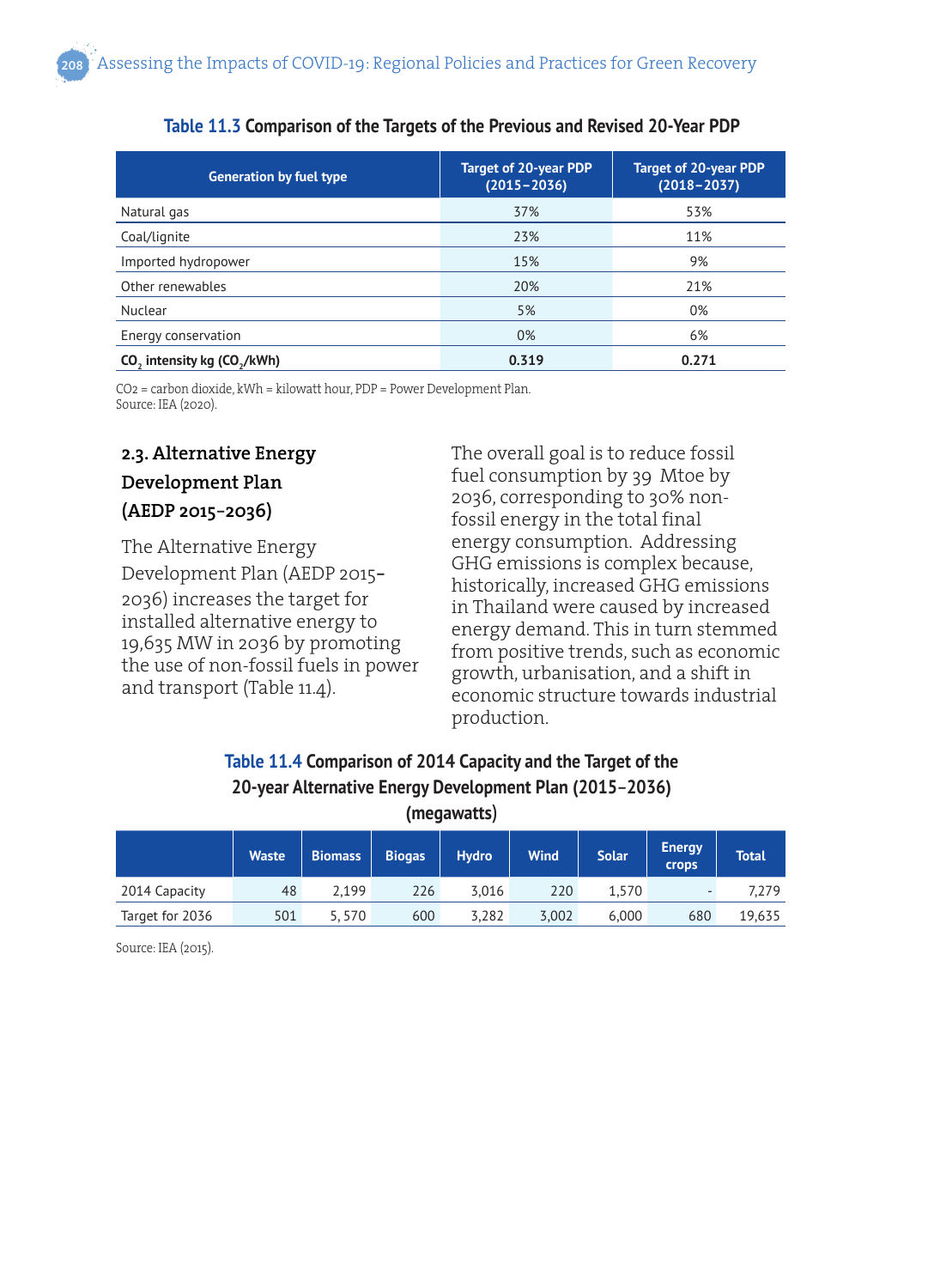| <b>Generation by fuel type</b>                      | <b>Target of 20-year PDP</b><br>$(2015 - 2036)$ | <b>Target of 20-year PDP</b><br>$(2018 - 2037)$ |  |  |
|-----------------------------------------------------|-------------------------------------------------|-------------------------------------------------|--|--|
| Natural gas                                         | 37%                                             | 53%                                             |  |  |
| Coal/lignite                                        | 23%                                             | 11%                                             |  |  |
| Imported hydropower                                 | 15%                                             | 9%                                              |  |  |
| Other renewables                                    | 20%                                             | 21%                                             |  |  |
| Nuclear                                             | 5%                                              | 0%                                              |  |  |
| Energy conservation                                 | 0%                                              | 6%                                              |  |  |
| CO <sub>2</sub> intensity kg (CO <sub>3</sub> /kWh) | 0.319                                           | 0.271                                           |  |  |

#### **Table 11.3 Comparison of the Targets of the Previous and Revised 20-Year PDP**

CO2 = carbon dioxide, kWh = kilowatt hour, PDP = Power Development Plan. Source: IEA (2020).

## **2.3. Alternative Energy Development Plan (AEDP 2015**–**2036)**

The Alternative Energy Development Plan (AEDP 2015– 2036) increases the target for installed alternative energy to 19,635 MW in 2036 by promoting the use of non-fossil fuels in power and transport (Table 11.4).

The overall goal is to reduce fossil fuel consumption by 39 Mtoe by 2036, corresponding to 30% nonfossil energy in the total final energy consumption. Addressing GHG emissions is complex because, historically, increased GHG emissions in Thailand were caused by increased energy demand. This in turn stemmed from positive trends, such as economic growth, urbanisation, and a shift in economic structure towards industrial production.

#### **Table 11.4 Comparison of 2014 Capacity and the Target of the 20-year Alternative Energy Development Plan (2015**–**2036) (megawatts)**

| , <sub>3</sub>  |              |                |               |              |             |              |                        |              |
|-----------------|--------------|----------------|---------------|--------------|-------------|--------------|------------------------|--------------|
|                 | <b>Waste</b> | <b>Biomass</b> | <b>Biogas</b> | <b>Hydro</b> | <b>Wind</b> | <b>Solar</b> | <b>Energy</b><br>crops | <b>Total</b> |
| 2014 Capacity   | 48           | 2.199          | 226           | 3.016        | 220         | 1,570        | $\sim$                 | 7,279        |
| Target for 2036 | 501          | 5,570          | 600           | 3,282        | 3,002       | 6,000        | 680                    | 19,635       |

Source: IEA (2015).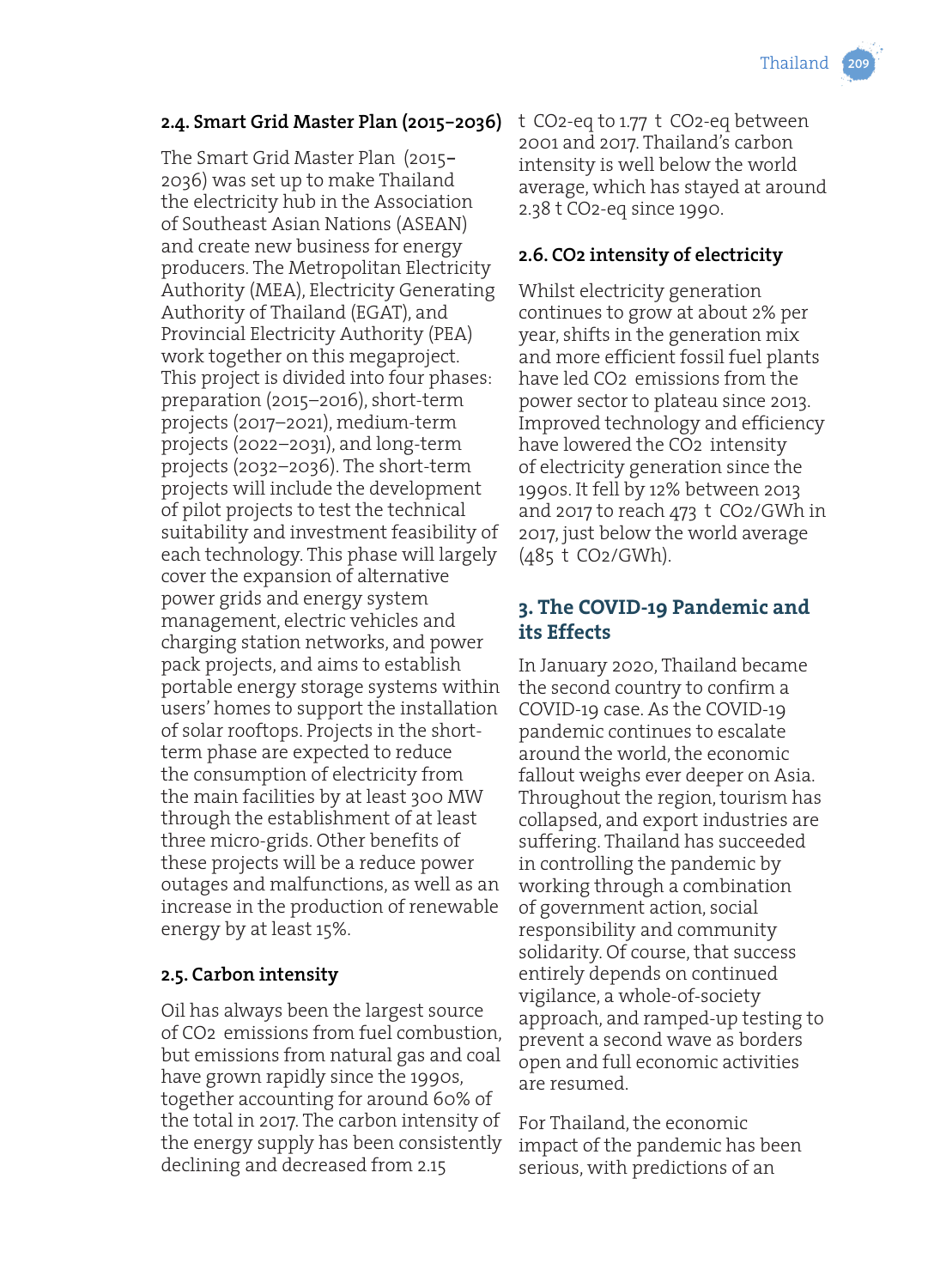#### **2.4. Smart Grid Master Plan (2015**–**2036)**

The Smart Grid Master Plan (2015– 2036) was set up to make Thailand the electricity hub in the Association of Southeast Asian Nations (ASEAN) and create new business for energy producers. The Metropolitan Electricity Authority (MEA), Electricity Generating Authority of Thailand (EGAT), and Provincial Electricity Authority (PEA) work together on this megaproject. This project is divided into four phases: preparation (2015–2016), short-term projects (2017–2021), medium-term projects (2022–2031), and long-term projects (2032–2036). The short-term projects will include the development of pilot projects to test the technical suitability and investment feasibility of each technology. This phase will largely cover the expansion of alternative power grids and energy system management, electric vehicles and charging station networks, and power pack projects, and aims to establish portable energy storage systems within users' homes to support the installation of solar rooftops. Projects in the shortterm phase are expected to reduce the consumption of electricity from the main facilities by at least 300 MW through the establishment of at least three micro-grids. Other benefits of these projects will be a reduce power outages and malfunctions, as well as an increase in the production of renewable energy by at least 15%.

#### **2.5. Carbon intensity**

Oil has always been the largest source of CO2 emissions from fuel combustion, but emissions from natural gas and coal have grown rapidly since the 1990s, together accounting for around 60% of the total in 2017. The carbon intensity of the energy supply has been consistently declining and decreased from 2.15

t CO2-eq to 1.77 t CO2-eq between 2001 and 2017. Thailand's carbon intensity is well below the world average, which has stayed at around 2.38 t CO2-eq since 1990.

## **2.6. CO2 intensity of electricity**

Whilst electricity generation continues to grow at about 2% per year, shifts in the generation mix and more efficient fossil fuel plants have led CO2 emissions from the power sector to plateau since 2013. Improved technology and efficiency have lowered the CO2 intensity of electricity generation since the 1990s. It fell by 12% between 2013 and 2017 to reach 473 t CO2/GWh in 2017, just below the world average (485 t CO2/GWh).

## **3. The COVID-19 Pandemic and its Effects**

In January 2020, Thailand became the second country to confirm a COVID-19 case. As the COVID-19 pandemic continues to escalate around the world, the economic fallout weighs ever deeper on Asia. Throughout the region, tourism has collapsed, and export industries are suffering. Thailand has succeeded in controlling the pandemic by working through a combination of government action, social responsibility and community solidarity. Of course, that success entirely depends on continued vigilance, a whole-of-society approach, and ramped-up testing to prevent a second wave as borders open and full economic activities are resumed.

For Thailand, the economic impact of the pandemic has been serious, with predictions of an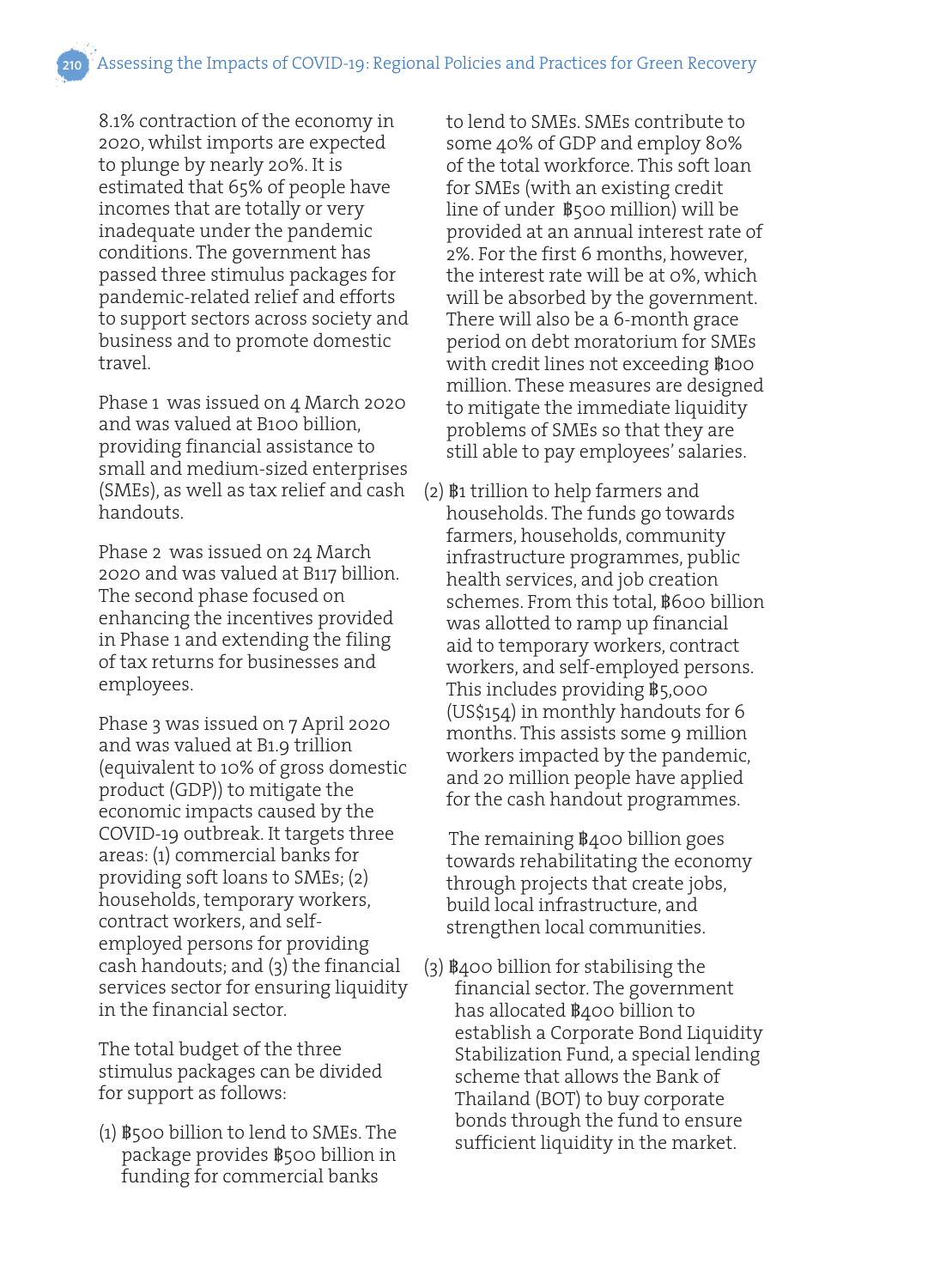8.1% contraction of the economy in 2020, whilst imports are expected to plunge by nearly 20%. It is estimated that 65% of people have incomes that are totally or very inadequate under the pandemic conditions. The government has passed three stimulus packages for pandemic-related relief and efforts to support sectors across society and business and to promote domestic travel.

Phase 1 was issued on 4 March 2020 and was valued at B100 billion, providing financial assistance to small and medium-sized enterprises (SMEs), as well as tax relief and cash handouts.

Phase 2 was issued on 24 March 2020 and was valued at B117 billion. The second phase focused on enhancing the incentives provided in Phase 1 and extending the filing of tax returns for businesses and employees.

Phase 3 was issued on 7 April 2020 and was valued at B1.9 trillion (equivalent to 10% of gross domestic product (GDP)) to mitigate the economic impacts caused by the COVID-19 outbreak. It targets three areas: (1) commercial banks for providing soft loans to SMEs; (2) households, temporary workers, contract workers, and selfemployed persons for providing cash handouts; and (3) the financial services sector for ensuring liquidity in the financial sector.

The total budget of the three stimulus packages can be divided for support as follows:

(1) ฿500 billion to lend to SMEs. The package provides ฿500 billion in funding for commercial banks

to lend to SMEs. SMEs contribute to some 40% of GDP and employ 80% of the total workforce. This soft loan for SMEs (with an existing credit line of under ฿500 million) will be provided at an annual interest rate of 2%. For the first 6 months, however, the interest rate will be at 0%, which will be absorbed by the government. There will also be a 6-month grace period on debt moratorium for SMEs with credit lines not exceeding  $\$$ 100 million. These measures are designed to mitigate the immediate liquidity problems of SMEs so that they are still able to pay employees' salaries.

(2) ฿1 trillion to help farmers and households. The funds go towards farmers, households, community infrastructure programmes, public health services, and job creation schemes. From this total, ฿600 billion was allotted to ramp up financial aid to temporary workers, contract workers, and self-employed persons. This includes providing ฿5,000 (US\$154) in monthly handouts for 6 months. This assists some 9 million workers impacted by the pandemic, and 20 million people have applied for the cash handout programmes.

 The remaining ฿400 billion goes towards rehabilitating the economy through projects that create jobs, build local infrastructure, and strengthen local communities.

(3) ฿400 billion for stabilising the financial sector. The government has allocated ฿400 billion to establish a Corporate Bond Liquidity Stabilization Fund, a special lending scheme that allows the Bank of Thailand (BOT) to buy corporate bonds through the fund to ensure sufficient liquidity in the market.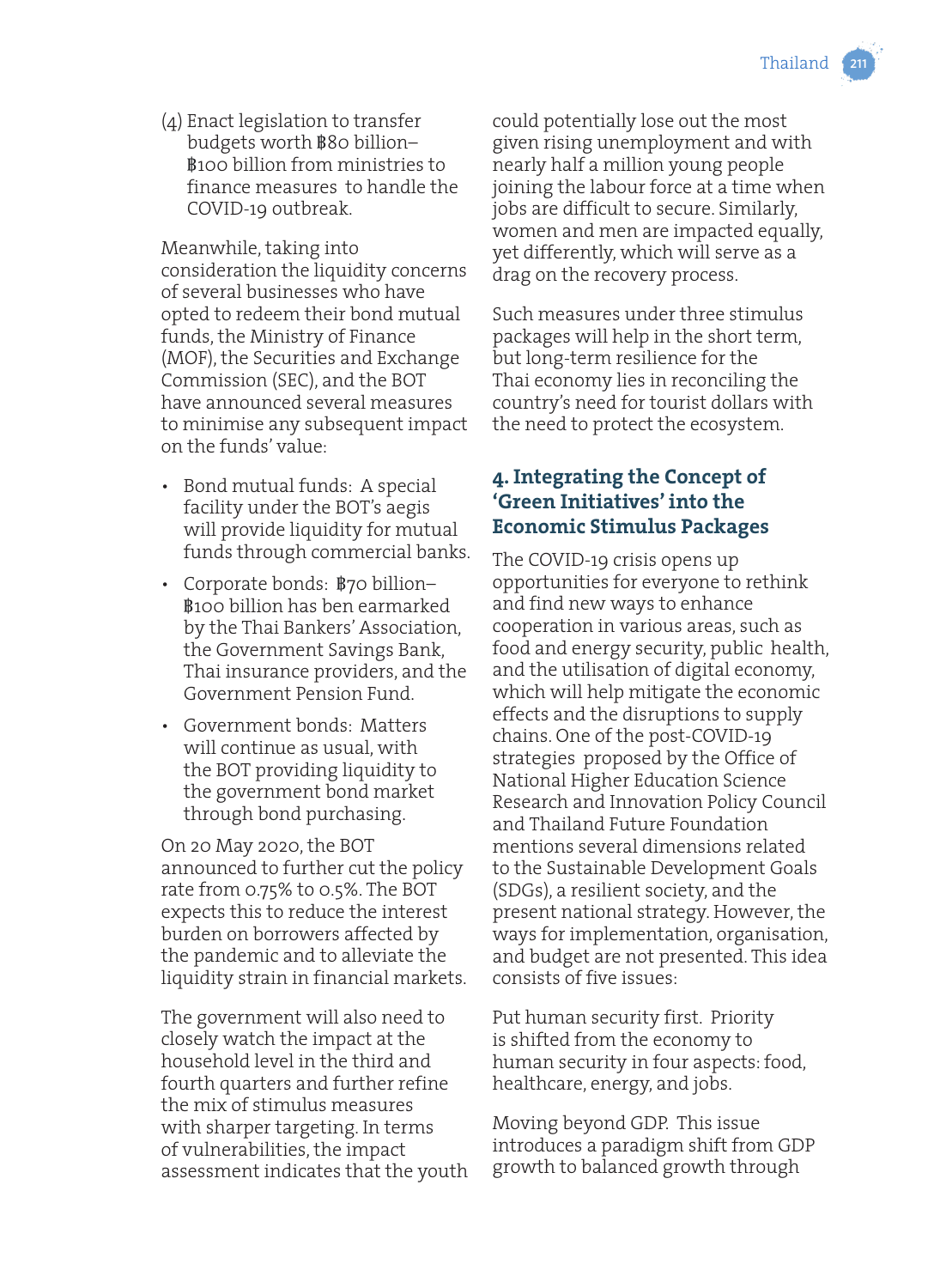(4) Enact legislation to transfer budgets worth ฿80 billion– ฿100 billion from ministries to finance measures to handle the COVID-19 outbreak.

Meanwhile, taking into consideration the liquidity concerns of several businesses who have opted to redeem their bond mutual funds, the Ministry of Finance (MOF), the Securities and Exchange Commission (SEC), and the BOT have announced several measures to minimise any subsequent impact on the funds' value:

- Bond mutual funds: A special facility under the BOT's aegis will provide liquidity for mutual funds through commercial banks.
- Corporate bonds: ฿70 billion– ฿100 billion has ben earmarked by the Thai Bankers' Association, the Government Savings Bank, Thai insurance providers, and the Government Pension Fund.
- Government bonds: Matters will continue as usual, with the BOT providing liquidity to the government bond market through bond purchasing.

On 20 May 2020, the BOT announced to further cut the policy rate from 0.75% to 0.5%. The BOT expects this to reduce the interest burden on borrowers affected by the pandemic and to alleviate the liquidity strain in financial markets.

The government will also need to closely watch the impact at the household level in the third and fourth quarters and further refine the mix of stimulus measures with sharper targeting. In terms of vulnerabilities, the impact assessment indicates that the youth could potentially lose out the most given rising unemployment and with nearly half a million young people joining the labour force at a time when jobs are difficult to secure. Similarly, women and men are impacted equally, yet differently, which will serve as a drag on the recovery process.

Such measures under three stimulus packages will help in the short term, but long-term resilience for the Thai economy lies in reconciling the country's need for tourist dollars with the need to protect the ecosystem.

## **4. Integrating the Concept of 'Green Initiatives' into the Economic Stimulus Packages**

The COVID-19 crisis opens up opportunities for everyone to rethink and find new ways to enhance cooperation in various areas, such as food and energy security, public health, and the utilisation of digital economy, which will help mitigate the economic effects and the disruptions to supply chains. One of the post-COVID-19 strategies proposed by the Office of National Higher Education Science Research and Innovation Policy Council and Thailand Future Foundation mentions several dimensions related to the Sustainable Development Goals (SDGs), a resilient society, and the present national strategy. However, the ways for implementation, organisation, and budget are not presented. This idea consists of five issues:

Put human security first. Priority is shifted from the economy to human security in four aspects: food, healthcare, energy, and jobs.

Moving beyond GDP. This issue introduces a paradigm shift from GDP growth to balanced growth through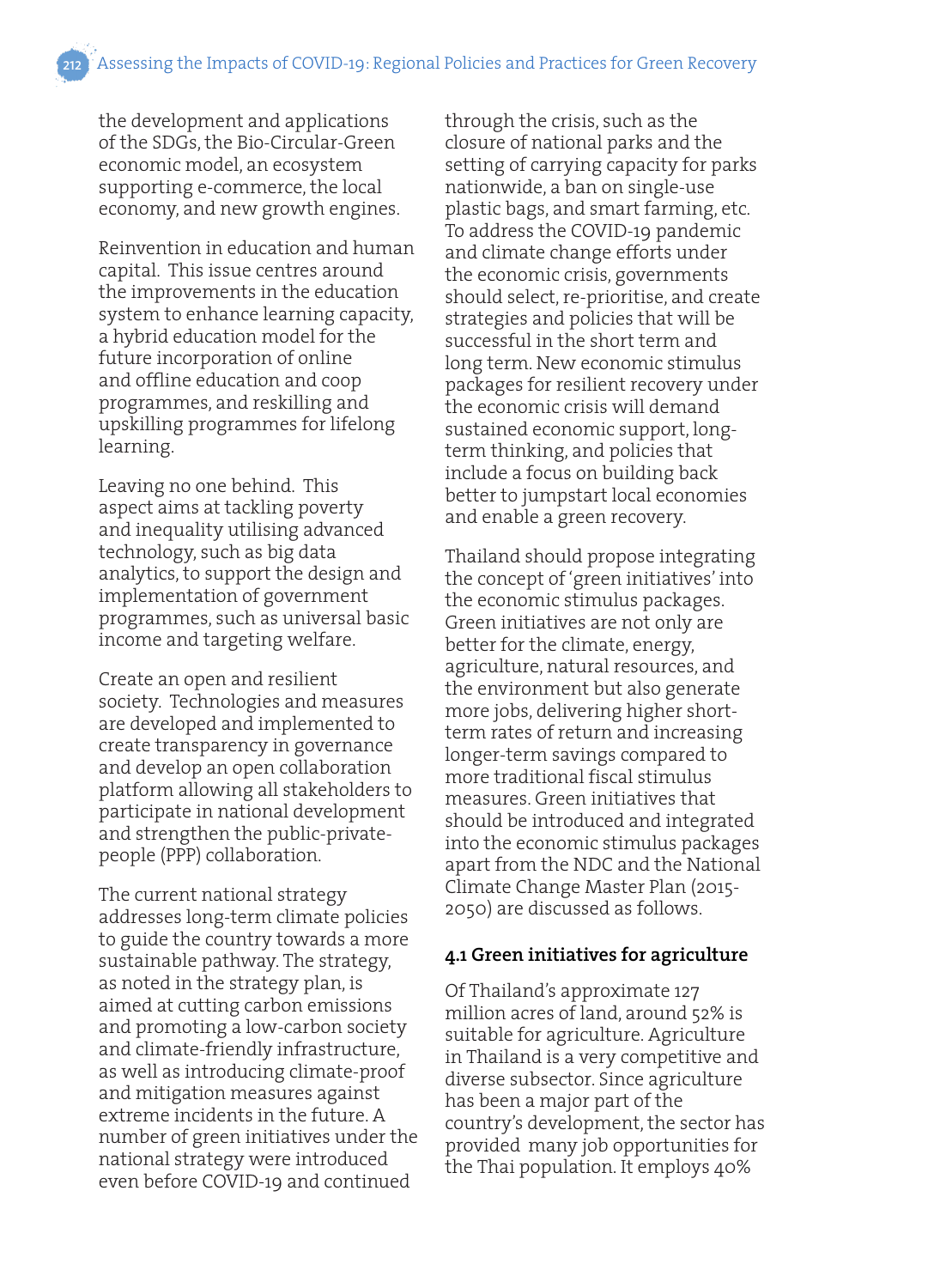the development and applications of the SDGs, the Bio-Circular-Green economic model, an ecosystem supporting e-commerce, the local economy, and new growth engines.

Reinvention in education and human capital. This issue centres around the improvements in the education system to enhance learning capacity, a hybrid education model for the future incorporation of online and offline education and coop programmes, and reskilling and upskilling programmes for lifelong learning.

Leaving no one behind. This aspect aims at tackling poverty and inequality utilising advanced technology, such as big data analytics, to support the design and implementation of government programmes, such as universal basic income and targeting welfare.

Create an open and resilient society. Technologies and measures are developed and implemented to create transparency in governance and develop an open collaboration platform allowing all stakeholders to participate in national development and strengthen the public-privatepeople (PPP) collaboration.

The current national strategy addresses long-term climate policies to guide the country towards a more sustainable pathway. The strategy, as noted in the strategy plan, is aimed at cutting carbon emissions and promoting a low-carbon society and climate-friendly infrastructure, as well as introducing climate-proof and mitigation measures against extreme incidents in the future. A number of green initiatives under the national strategy were introduced even before COVID-19 and continued

through the crisis, such as the closure of national parks and the setting of carrying capacity for parks nationwide, a ban on single-use plastic bags, and smart farming, etc. To address the COVID-19 pandemic and climate change efforts under the economic crisis, governments should select, re-prioritise, and create strategies and policies that will be successful in the short term and long term. New economic stimulus packages for resilient recovery under the economic crisis will demand sustained economic support, longterm thinking, and policies that include a focus on building back better to jumpstart local economies and enable a green recovery.

Thailand should propose integrating the concept of 'green initiatives' into the economic stimulus packages. Green initiatives are not only are better for the climate, energy, agriculture, natural resources, and the environment but also generate more jobs, delivering higher shortterm rates of return and increasing longer-term savings compared to more traditional fiscal stimulus measures. Green initiatives that should be introduced and integrated into the economic stimulus packages apart from the NDC and the National Climate Change Master Plan (2015- 2050) are discussed as follows.

#### **4.1 Green initiatives for agriculture**

Of Thailand's approximate 127 million acres of land, around 52% is suitable for agriculture. Agriculture in Thailand is a very competitive and diverse subsector. Since agriculture has been a major part of the country's development, the sector has provided many job opportunities for the Thai population. It employs 40%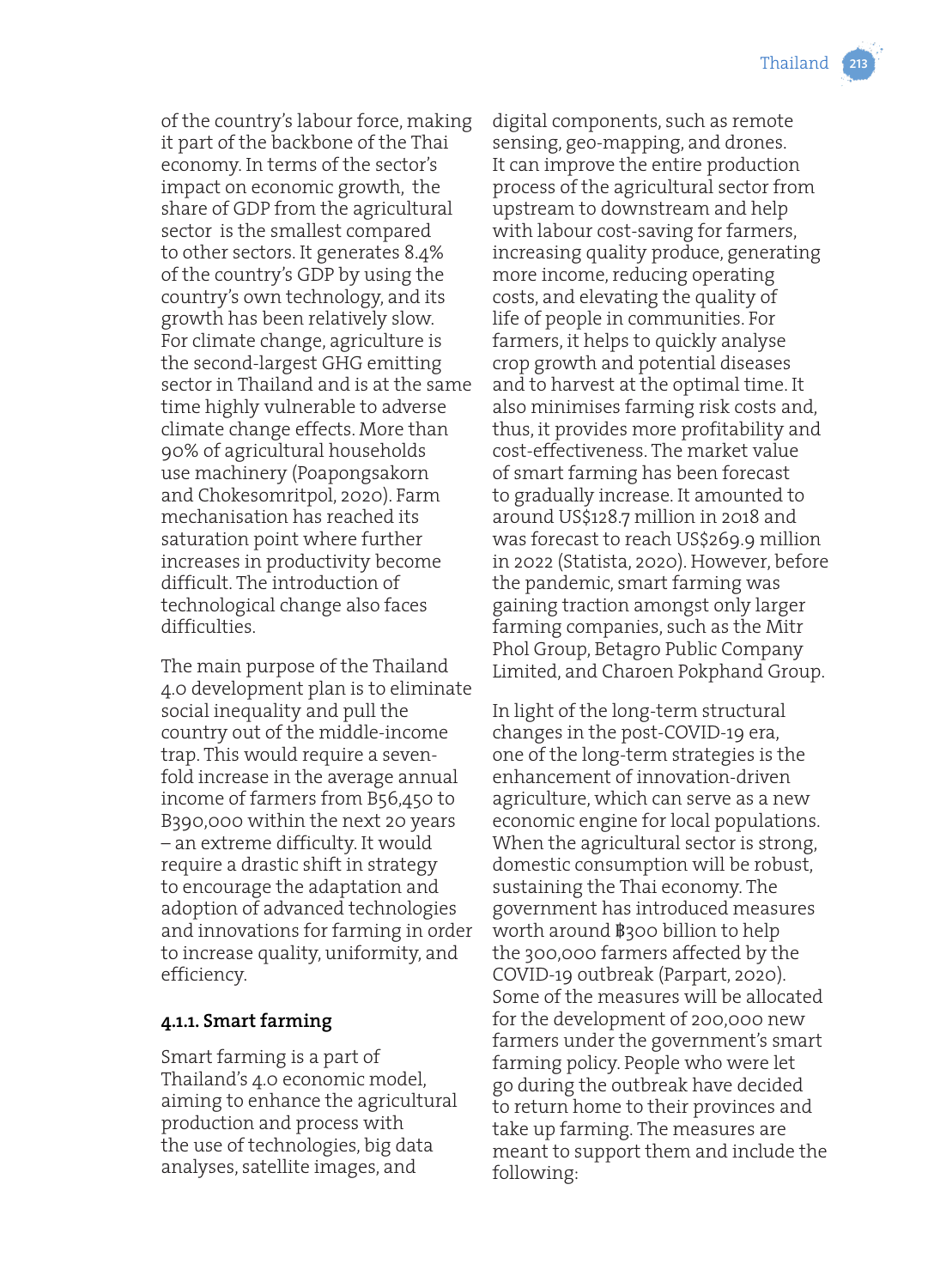

of the country's labour force, making it part of the backbone of the Thai economy. In terms of the sector's impact on economic growth, the share of GDP from the agricultural sector is the smallest compared to other sectors. It generates 8.4% of the country's GDP by using the country's own technology, and its growth has been relatively slow. For climate change, agriculture is the second-largest GHG emitting sector in Thailand and is at the same time highly vulnerable to adverse climate change effects. More than 90% of agricultural households use machinery (Poapongsakorn and Chokesomritpol, 2020). Farm mechanisation has reached its saturation point where further increases in productivity become difficult. The introduction of technological change also faces difficulties.

The main purpose of the Thailand 4.0 development plan is to eliminate social inequality and pull the country out of the middle-income trap. This would require a sevenfold increase in the average annual income of farmers from B56,450 to B390,000 within the next 20 years – an extreme difficulty. It would require a drastic shift in strategy to encourage the adaptation and adoption of advanced technologies and innovations for farming in order to increase quality, uniformity, and efficiency.

#### **4.1.1. Smart farming**

Smart farming is a part of Thailand's 4.0 economic model, aiming to enhance the agricultural production and process with the use of technologies, big data analyses, satellite images, and

digital components, such as remote sensing, geo-mapping, and drones. It can improve the entire production process of the agricultural sector from upstream to downstream and help with labour cost-saving for farmers, increasing quality produce, generating more income, reducing operating costs, and elevating the quality of life of people in communities. For farmers, it helps to quickly analyse crop growth and potential diseases and to harvest at the optimal time. It also minimises farming risk costs and, thus, it provides more profitability and cost-effectiveness. The market value of smart farming has been forecast to gradually increase. It amounted to around US\$128.7 million in 2018 and was forecast to reach US\$269.9 million in 2022 (Statista, 2020). However, before the pandemic, smart farming was gaining traction amongst only larger farming companies, such as the Mitr Phol Group, Betagro Public Company Limited, and Charoen Pokphand Group.

In light of the long-term structural changes in the post-COVID-19 era, one of the long-term strategies is the enhancement of innovation-driven agriculture, which can serve as a new economic engine for local populations. When the agricultural sector is strong, domestic consumption will be robust, sustaining the Thai economy. The government has introduced measures worth around ฿300 billion to help the 300,000 farmers affected by the COVID-19 outbreak (Parpart, 2020). Some of the measures will be allocated for the development of 200,000 new farmers under the government's smart farming policy. People who were let go during the outbreak have decided to return home to their provinces and take up farming. The measures are meant to support them and include the following: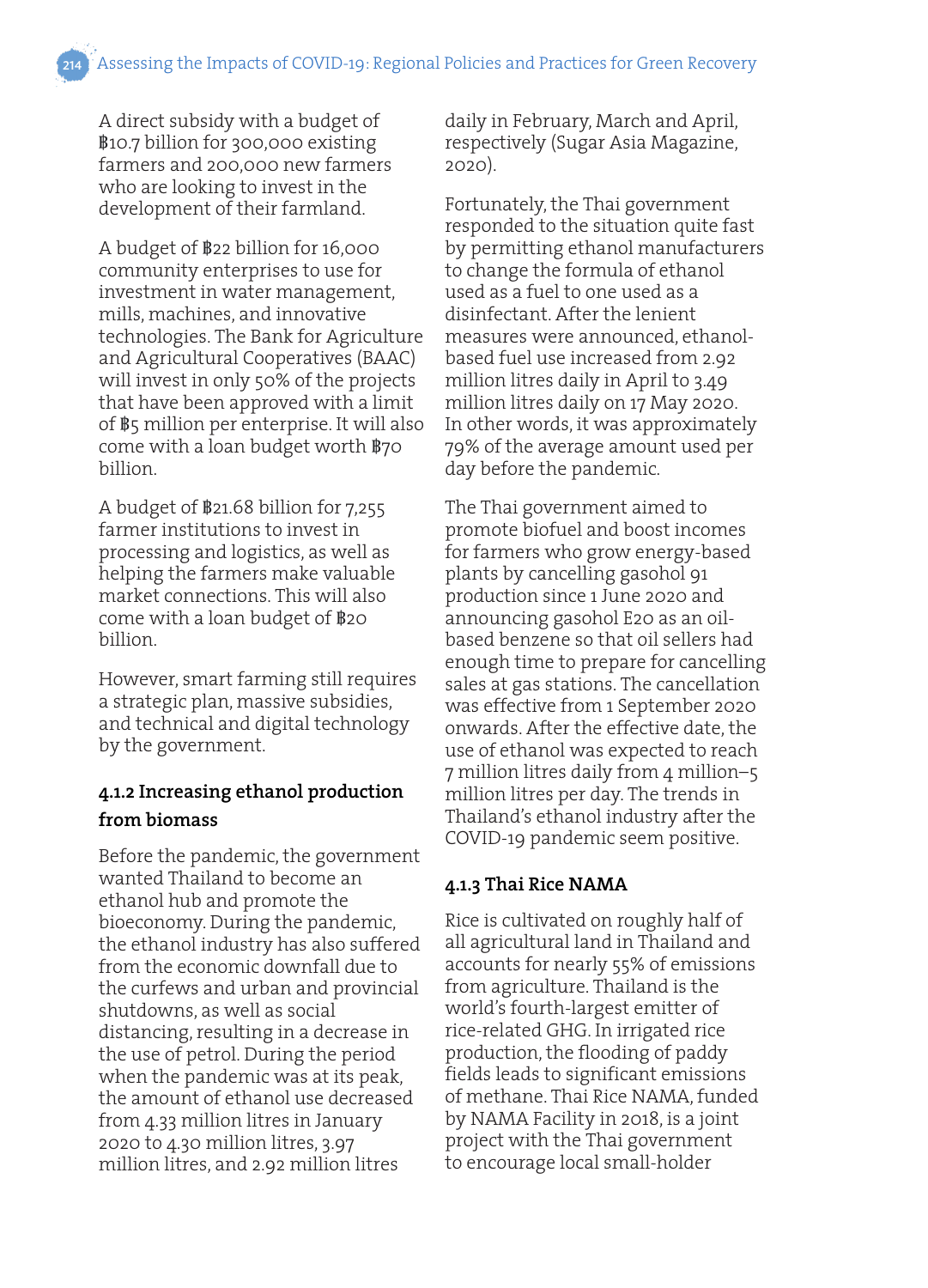A direct subsidy with a budget of ฿10.7 billion for 300,000 existing farmers and 200,000 new farmers who are looking to invest in the development of their farmland.

A budget of ฿22 billion for 16,000 community enterprises to use for investment in water management, mills, machines, and innovative technologies. The Bank for Agriculture and Agricultural Cooperatives (BAAC) will invest in only 50% of the projects that have been approved with a limit of ฿5 million per enterprise. It will also come with a loan budget worth ฿70 billion.

A budget of ฿21.68 billion for 7,255 farmer institutions to invest in processing and logistics, as well as helping the farmers make valuable market connections. This will also come with a loan budget of ฿20 billion.

However, smart farming still requires a strategic plan, massive subsidies, and technical and digital technology by the government.

## **4.1.2 Increasing ethanol production from biomass**

Before the pandemic, the government wanted Thailand to become an ethanol hub and promote the bioeconomy. During the pandemic, the ethanol industry has also suffered from the economic downfall due to the curfews and urban and provincial shutdowns, as well as social distancing, resulting in a decrease in the use of petrol. During the period when the pandemic was at its peak, the amount of ethanol use decreased from 4.33 million litres in January 2020 to 4.30 million litres, 3.97 million litres, and 2.92 million litres

daily in February, March and April, respectively (Sugar Asia Magazine, 2020).

Fortunately, the Thai government responded to the situation quite fast by permitting ethanol manufacturers to change the formula of ethanol used as a fuel to one used as a disinfectant. After the lenient measures were announced, ethanolbased fuel use increased from 2.92 million litres daily in April to 3.49 million litres daily on 17 May 2020. In other words, it was approximately 79% of the average amount used per day before the pandemic.

The Thai government aimed to promote biofuel and boost incomes for farmers who grow energy-based plants by cancelling gasohol 91 production since 1 June 2020 and announcing gasohol E20 as an oilbased benzene so that oil sellers had enough time to prepare for cancelling sales at gas stations. The cancellation was effective from 1 September 2020 onwards. After the effective date, the use of ethanol was expected to reach 7 million litres daily from 4 million–5 million litres per day. The trends in Thailand's ethanol industry after the COVID-19 pandemic seem positive.

#### **4.1.3 Thai Rice NAMA**

Rice is cultivated on roughly half of all agricultural land in Thailand and accounts for nearly 55% of emissions from agriculture. Thailand is the world's fourth-largest emitter of rice-related GHG. In irrigated rice production, the flooding of paddy fields leads to significant emissions of methane. Thai Rice NAMA, funded by NAMA Facility in 2018, is a joint project with the Thai government to encourage local small-holder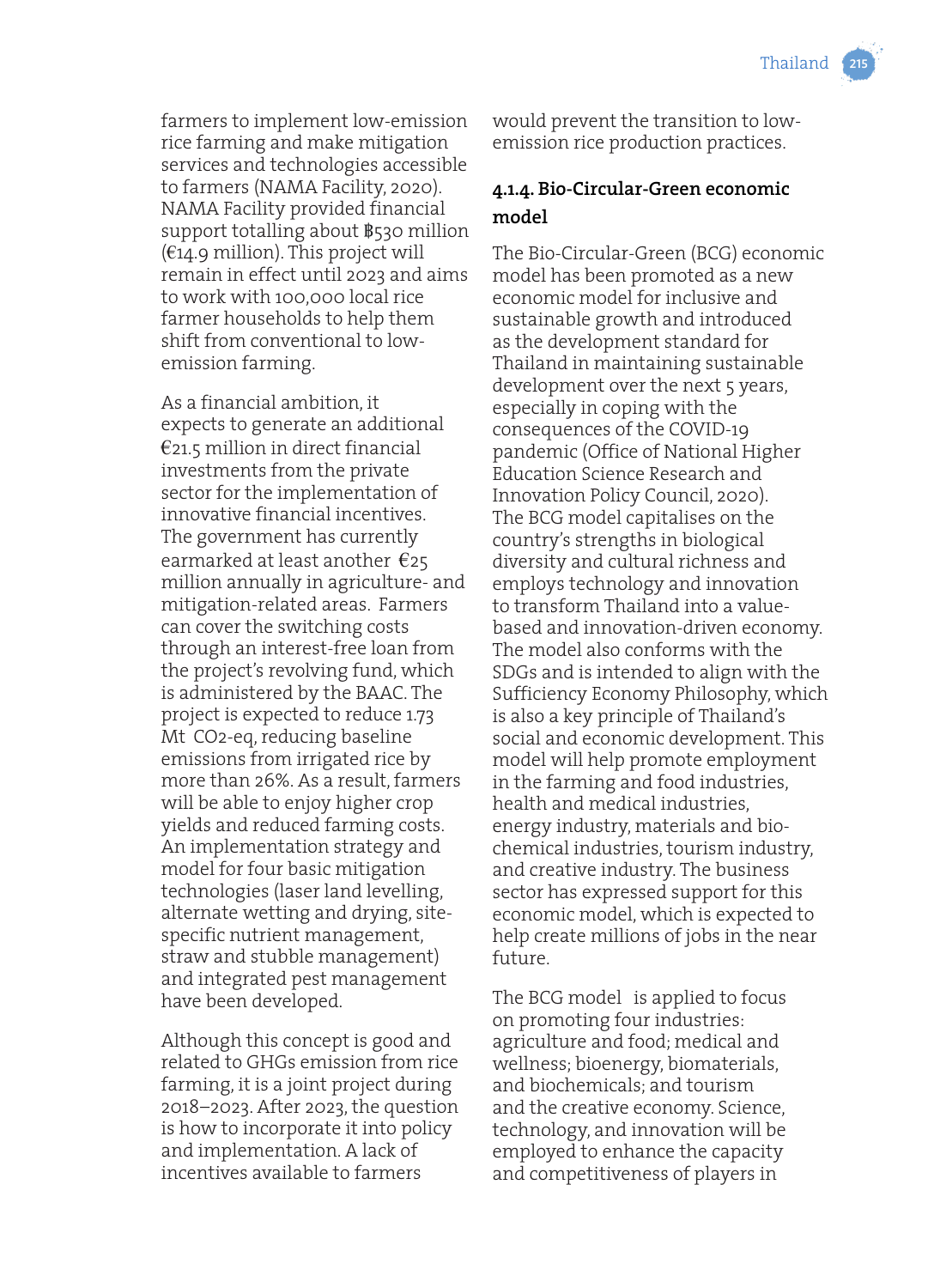farmers to implement low-emission rice farming and make mitigation services and technologies accessible to farmers (NAMA Facility, 2020). NAMA Facility provided financial support totalling about ฿530 million  $(€14.9$  million). This project will remain in effect until 2023 and aims to work with 100,000 local rice farmer households to help them shift from conventional to lowemission farming.

As a financial ambition, it expects to generate an additional  $E$ 21.5 million in direct financial investments from the private sector for the implementation of innovative financial incentives. The government has currently earmarked at least another €25 million annually in agriculture- and mitigation-related areas. Farmers can cover the switching costs through an interest-free loan from the project's revolving fund, which is administered by the BAAC. The project is expected to reduce 1.73 Mt CO2-eq, reducing baseline emissions from irrigated rice by more than 26%. As a result, farmers will be able to enjoy higher crop yields and reduced farming costs. An implementation strategy and model for four basic mitigation technologies (laser land levelling, alternate wetting and drying, sitespecific nutrient management, straw and stubble management) and integrated pest management have been developed.

Although this concept is good and related to GHGs emission from rice farming, it is a joint project during 2018–2023. After 2023, the question is how to incorporate it into policy and implementation. A lack of incentives available to farmers

would prevent the transition to lowemission rice production practices.

## **4.1.4. Bio-Circular-Green economic model**

The Bio-Circular-Green (BCG) economic model has been promoted as a new economic model for inclusive and sustainable growth and introduced as the development standard for Thailand in maintaining sustainable development over the next 5 years, especially in coping with the consequences of the COVID-19 pandemic (Office of National Higher Education Science Research and Innovation Policy Council, 2020). The BCG model capitalises on the country's strengths in biological diversity and cultural richness and employs technology and innovation to transform Thailand into a valuebased and innovation-driven economy. The model also conforms with the SDGs and is intended to align with the Sufficiency Economy Philosophy, which is also a key principle of Thailand's social and economic development. This model will help promote employment in the farming and food industries, health and medical industries, energy industry, materials and biochemical industries, tourism industry, and creative industry. The business sector has expressed support for this economic model, which is expected to help create millions of jobs in the near future.

The BCG model is applied to focus on promoting four industries: agriculture and food; medical and wellness; bioenergy, biomaterials, and biochemicals; and tourism and the creative economy. Science, technology, and innovation will be employed to enhance the capacity and competitiveness of players in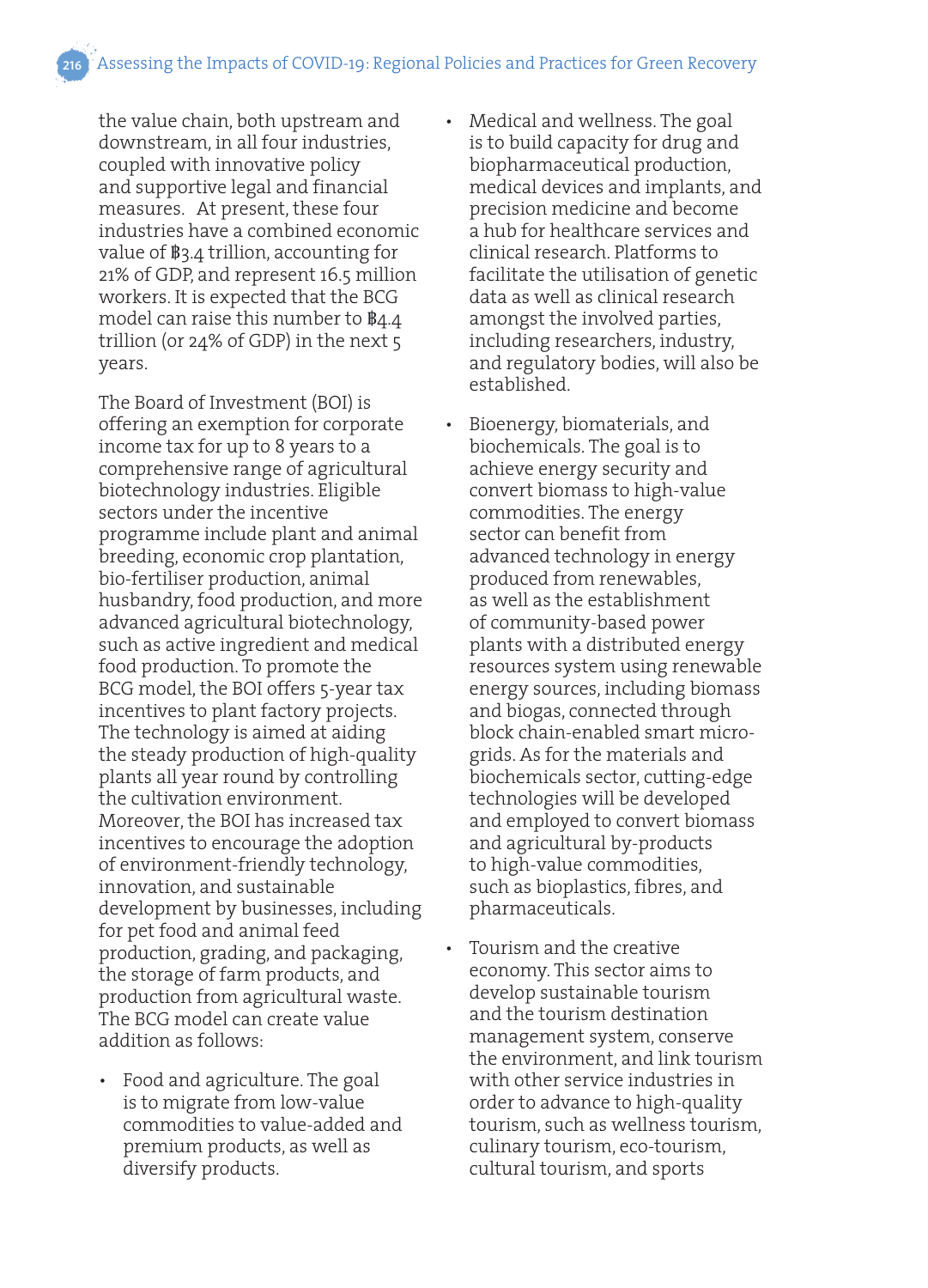the value chain, both upstream and downstream, in all four industries, coupled with innovative policy and supportive legal and financial measures. At present, these four industries have a combined economic value of ฿3.4 trillion, accounting for 21% of GDP, and represent 16.5 million workers. It is expected that the BCG model can raise this number to ฿4.4 trillion (or 24% of GDP) in the next 5 years.

The Board of Investment (BOI) is offering an exemption for corporate income tax for up to 8 years to a comprehensive range of agricultural biotechnology industries. Eligible sectors under the incentive programme include plant and animal breeding, economic crop plantation, bio-fertiliser production, animal husbandry, food production, and more advanced agricultural biotechnology, such as active ingredient and medical food production. To promote the BCG model, the BOI offers 5-year tax incentives to plant factory projects. The technology is aimed at aiding the steady production of high-quality plants all year round by controlling the cultivation environment. Moreover, the BOI has increased tax incentives to encourage the adoption of environment-friendly technology, innovation, and sustainable development by businesses, including for pet food and animal feed production, grading, and packaging, the storage of farm products, and production from agricultural waste. The BCG model can create value addition as follows:

• Food and agriculture. The goal is to migrate from low-value commodities to value-added and premium products, as well as diversify products.

- Medical and wellness. The goal is to build capacity for drug and biopharmaceutical production, medical devices and implants, and precision medicine and become a hub for healthcare services and clinical research. Platforms to facilitate the utilisation of genetic data as well as clinical research amongst the involved parties, including researchers, industry, and regulatory bodies, will also be established.
- Bioenergy, biomaterials, and biochemicals. The goal is to achieve energy security and convert biomass to high-value commodities. The energy sector can benefit from advanced technology in energy produced from renewables, as well as the establishment of community-based power plants with a distributed energy resources system using renewable energy sources, including biomass and biogas, connected through block chain-enabled smart microgrids. As for the materials and biochemicals sector, cutting-edge technologies will be developed and employed to convert biomass and agricultural by-products to high-value commodities, such as bioplastics, fibres, and pharmaceuticals.
- Tourism and the creative economy. This sector aims to develop sustainable tourism and the tourism destination management system, conserve the environment, and link tourism with other service industries in order to advance to high-quality tourism, such as wellness tourism, culinary tourism, eco-tourism, cultural tourism, and sports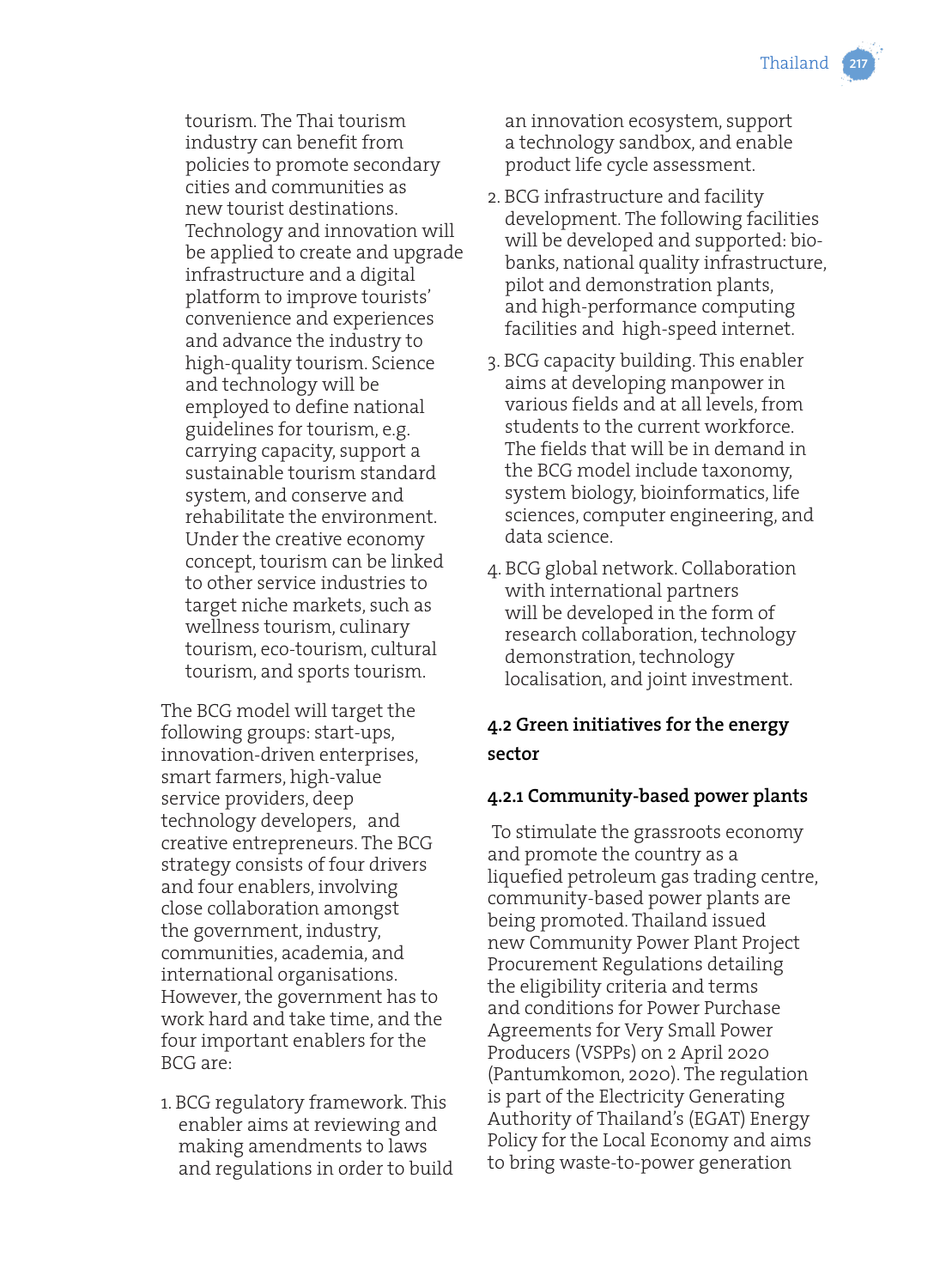

tourism. The Thai tourism industry can benefit from policies to promote secondary cities and communities as new tourist destinations. Technology and innovation will be applied to create and upgrade infrastructure and a digital platform to improve tourists' convenience and experiences and advance the industry to high-quality tourism. Science and technology will be employed to define national guidelines for tourism, e.g. carrying capacity, support a sustainable tourism standard system, and conserve and rehabilitate the environment. Under the creative economy concept, tourism can be linked to other service industries to target niche markets, such as wellness tourism, culinary tourism, eco-tourism, cultural tourism, and sports tourism.

The BCG model will target the following groups: start-ups, innovation-driven enterprises, smart farmers, high-value service providers, deep technology developers, and creative entrepreneurs. The BCG strategy consists of four drivers and four enablers, involving close collaboration amongst the government, industry, communities, academia, and international organisations. However, the government has to work hard and take time, and the four important enablers for the BCG are:

1. BCG regulatory framework. This enabler aims at reviewing and making amendments to laws and regulations in order to build an innovation ecosystem, support a technology sandbox, and enable product life cycle assessment.

- 2. BCG infrastructure and facility development. The following facilities will be developed and supported: biobanks, national quality infrastructure, pilot and demonstration plants, and high-performance computing facilities and high-speed internet.
- 3. BCG capacity building. This enabler aims at developing manpower in various fields and at all levels, from students to the current workforce. The fields that will be in demand in the BCG model include taxonomy, system biology, bioinformatics, life sciences, computer engineering, and data science.
- 4. BCG global network. Collaboration with international partners will be developed in the form of research collaboration, technology demonstration, technology localisation, and joint investment.

## **4.2 Green initiatives for the energy sector**

## **4.2.1 Community-based power plants**

 To stimulate the grassroots economy and promote the country as a liquefied petroleum gas trading centre, community-based power plants are being promoted. Thailand issued new Community Power Plant Project Procurement Regulations detailing the eligibility criteria and terms and conditions for Power Purchase Agreements for Very Small Power Producers (VSPPs) on 2 April 2020 (Pantumkomon, 2020). The regulation is part of the Electricity Generating Authority of Thailand's (EGAT) Energy Policy for the Local Economy and aims to bring waste-to-power generation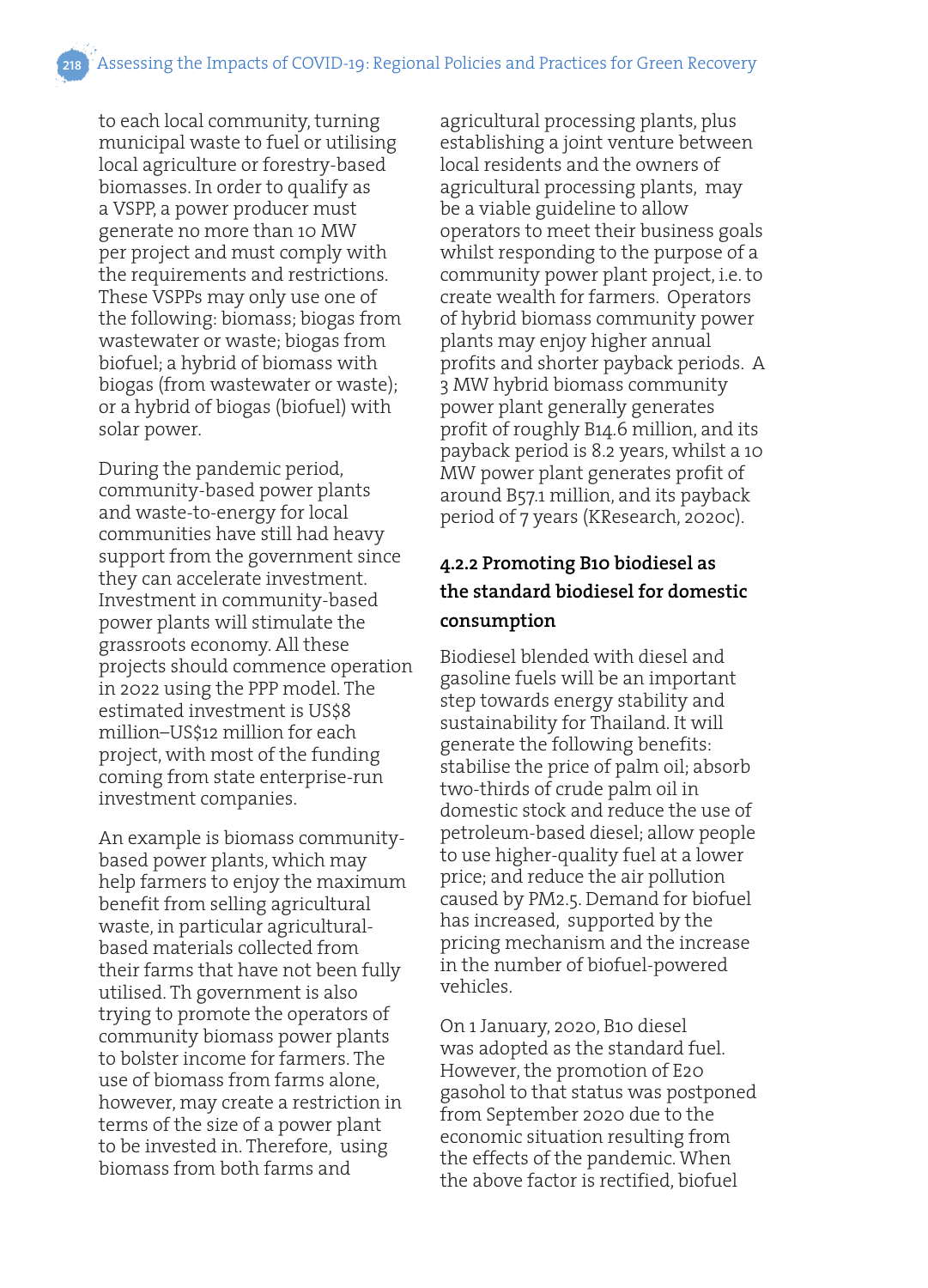to each local community, turning municipal waste to fuel or utilising local agriculture or forestry-based biomasses. In order to qualify as a VSPP, a power producer must generate no more than 10 MW per project and must comply with the requirements and restrictions. These VSPPs may only use one of the following: biomass; biogas from wastewater or waste; biogas from biofuel; a hybrid of biomass with biogas (from wastewater or waste); or a hybrid of biogas (biofuel) with solar power.

During the pandemic period, community-based power plants and waste-to-energy for local communities have still had heavy support from the government since they can accelerate investment. Investment in community-based power plants will stimulate the grassroots economy. All these projects should commence operation in 2022 using the PPP model. The estimated investment is US\$8 million–US\$12 million for each project, with most of the funding coming from state enterprise-run investment companies.

An example is biomass communitybased power plants, which may help farmers to enjoy the maximum benefit from selling agricultural waste, in particular agriculturalbased materials collected from their farms that have not been fully utilised. Th government is also trying to promote the operators of community biomass power plants to bolster income for farmers. The use of biomass from farms alone, however, may create a restriction in terms of the size of a power plant to be invested in. Therefore, using biomass from both farms and

agricultural processing plants, plus establishing a joint venture between local residents and the owners of agricultural processing plants, may be a viable guideline to allow operators to meet their business goals whilst responding to the purpose of a community power plant project, i.e. to create wealth for farmers. Operators of hybrid biomass community power plants may enjoy higher annual profits and shorter payback periods. A 3 MW hybrid biomass community power plant generally generates profit of roughly B14.6 million, and its payback period is 8.2 years, whilst a 10 MW power plant generates profit of around B57.1 million, and its payback period of 7 years (KResearch, 2020c).

## **4.2.2 Promoting B10 biodiesel as the standard biodiesel for domestic consumption**

Biodiesel blended with diesel and gasoline fuels will be an important step towards energy stability and sustainability for Thailand. It will generate the following benefits: stabilise the price of palm oil; absorb two-thirds of crude palm oil in domestic stock and reduce the use of petroleum-based diesel; allow people to use higher-quality fuel at a lower price; and reduce the air pollution caused by PM2.5. Demand for biofuel has increased, supported by the pricing mechanism and the increase in the number of biofuel-powered vehicles.

On 1 January, 2020, B10 diesel was adopted as the standard fuel. However, the promotion of E20 gasohol to that status was postponed from September 2020 due to the economic situation resulting from the effects of the pandemic. When the above factor is rectified, biofuel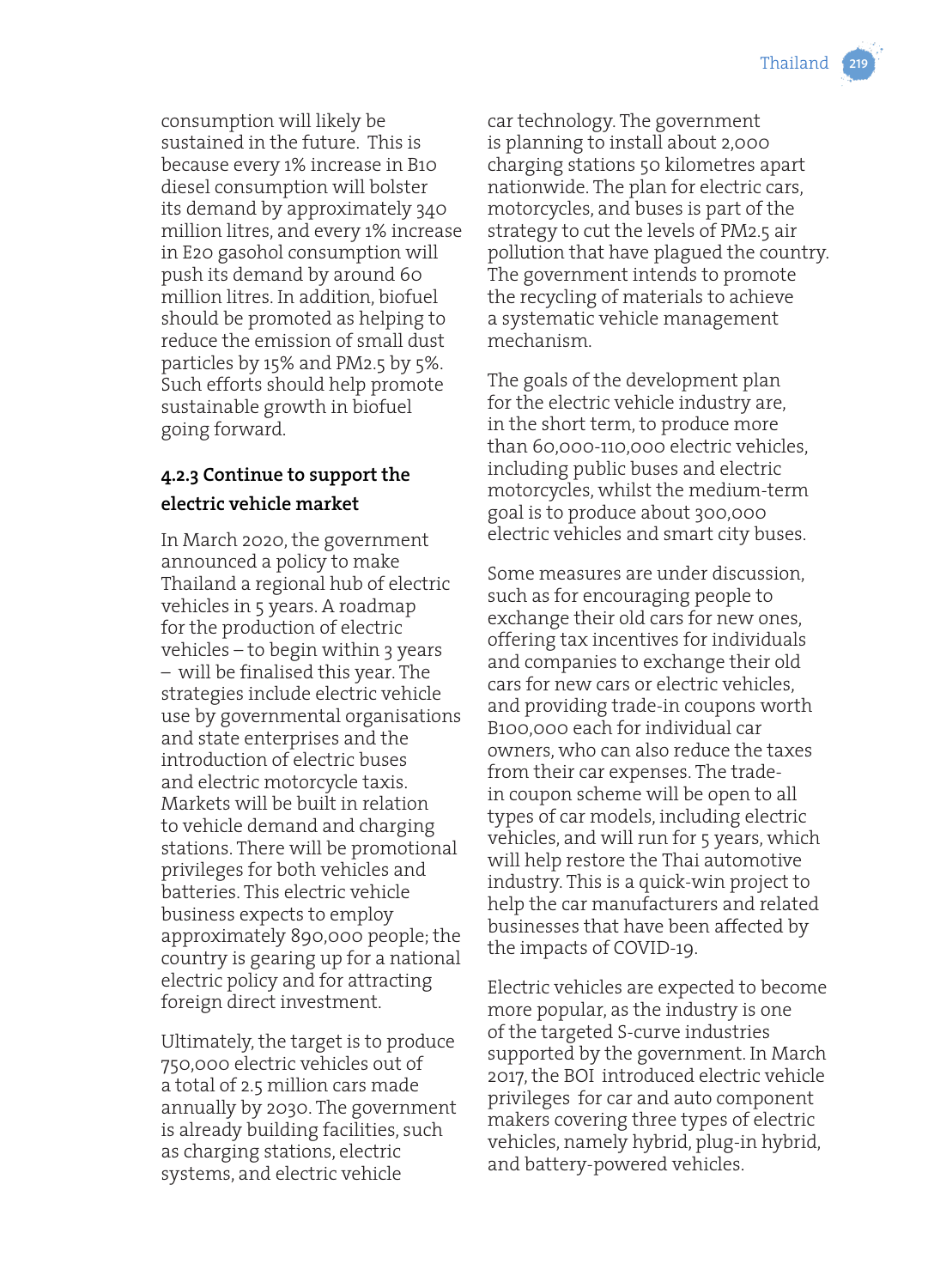consumption will likely be sustained in the future. This is because every 1% increase in B10 diesel consumption will bolster its demand by approximately 340 million litres, and every 1% increase in E20 gasohol consumption will push its demand by around 60 million litres. In addition, biofuel should be promoted as helping to reduce the emission of small dust particles by 15% and PM2.5 by 5%. Such efforts should help promote sustainable growth in biofuel going forward.

## **4.2.3 Continue to support the electric vehicle market**

In March 2020, the government announced a policy to make Thailand a regional hub of electric vehicles in 5 years. A roadmap for the production of electric vehicles – to begin within 3 years – will be finalised this year. The strategies include electric vehicle use by governmental organisations and state enterprises and the introduction of electric buses and electric motorcycle taxis. Markets will be built in relation to vehicle demand and charging stations. There will be promotional privileges for both vehicles and batteries. This electric vehicle business expects to employ approximately 890,000 people; the country is gearing up for a national electric policy and for attracting foreign direct investment.

Ultimately, the target is to produce 750,000 electric vehicles out of a total of 2.5 million cars made annually by 2030. The government is already building facilities, such as charging stations, electric systems, and electric vehicle

car technology. The government is planning to install about 2,000 charging stations 50 kilometres apart nationwide. The plan for electric cars, motorcycles, and buses is part of the strategy to cut the levels of PM2.5 air pollution that have plagued the country. The government intends to promote the recycling of materials to achieve a systematic vehicle management mechanism.

The goals of the development plan for the electric vehicle industry are, in the short term, to produce more than 60,000-110,000 electric vehicles, including public buses and electric motorcycles, whilst the medium-term goal is to produce about 300,000 electric vehicles and smart city buses.

Some measures are under discussion, such as for encouraging people to exchange their old cars for new ones, offering tax incentives for individuals and companies to exchange their old cars for new cars or electric vehicles, and providing trade-in coupons worth B100,000 each for individual car owners, who can also reduce the taxes from their car expenses. The tradein coupon scheme will be open to all types of car models, including electric vehicles, and will run for 5 years, which will help restore the Thai automotive industry. This is a quick-win project to help the car manufacturers and related businesses that have been affected by the impacts of COVID-19.

Electric vehicles are expected to become more popular, as the industry is one of the targeted S-curve industries supported by the government. In March 2017, the BOI introduced electric vehicle privileges for car and auto component makers covering three types of electric vehicles, namely hybrid, plug-in hybrid, and battery-powered vehicles.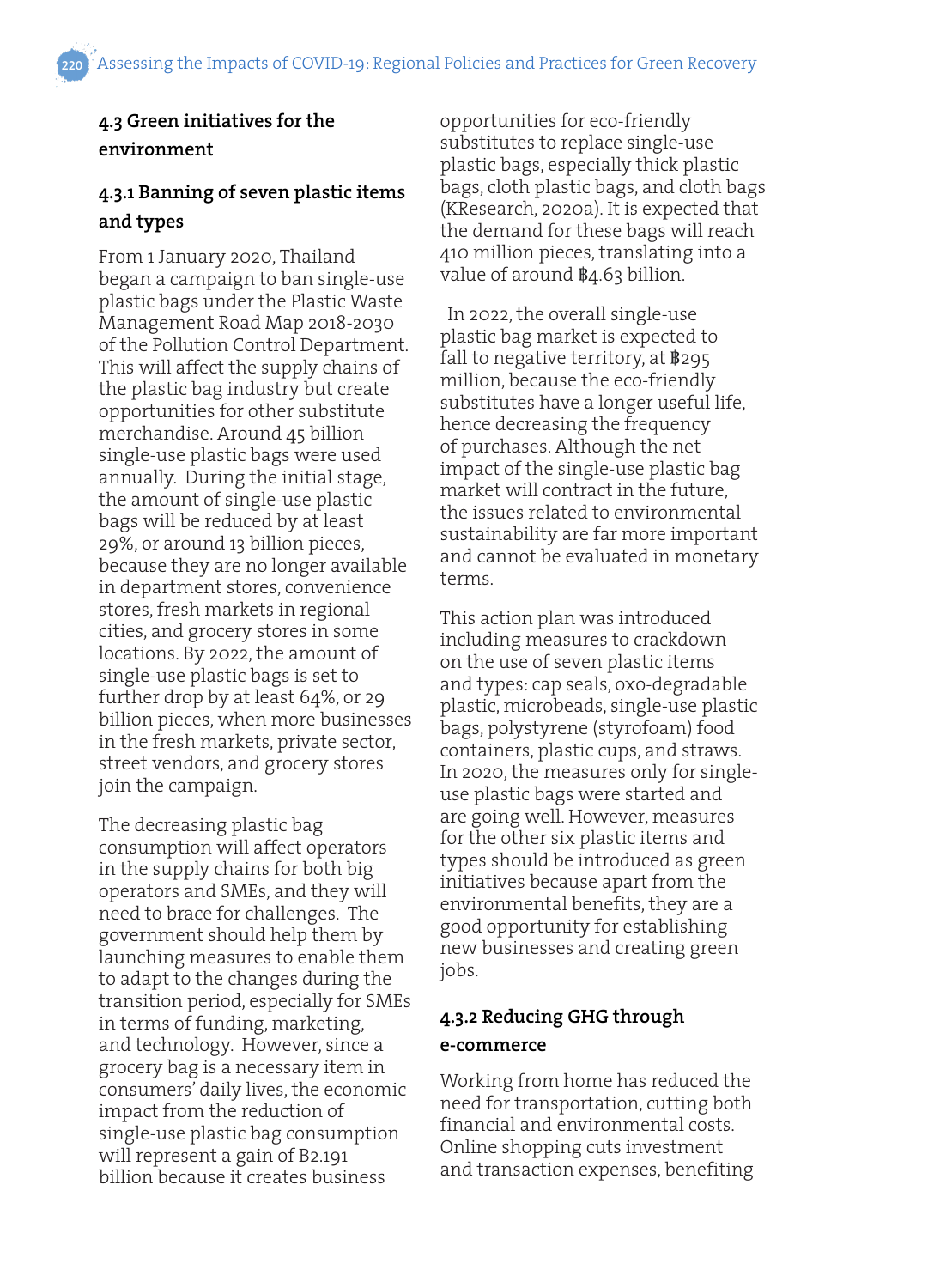## **4.3 Green initiatives for the environment**

## **4.3.1 Banning of seven plastic items and types**

From 1 January 2020, Thailand began a campaign to ban single-use plastic bags under the Plastic Waste Management Road Map 2018-2030 of the Pollution Control Department. This will affect the supply chains of the plastic bag industry but create opportunities for other substitute merchandise. Around 45 billion single-use plastic bags were used annually. During the initial stage, the amount of single-use plastic bags will be reduced by at least 29%, or around 13 billion pieces, because they are no longer available in department stores, convenience stores, fresh markets in regional cities, and grocery stores in some locations. By 2022, the amount of single-use plastic bags is set to further drop by at least 64%, or 29 billion pieces, when more businesses in the fresh markets, private sector, street vendors, and grocery stores join the campaign.

The decreasing plastic bag consumption will affect operators in the supply chains for both big operators and SMEs, and they will need to brace for challenges. The government should help them by launching measures to enable them to adapt to the changes during the transition period, especially for SMEs in terms of funding, marketing, and technology. However, since a grocery bag is a necessary item in consumers' daily lives, the economic impact from the reduction of single-use plastic bag consumption will represent a gain of B2.191 billion because it creates business

opportunities for eco-friendly substitutes to replace single-use plastic bags, especially thick plastic bags, cloth plastic bags, and cloth bags (KResearch, 2020a). It is expected that the demand for these bags will reach 410 million pieces, translating into a value of around  $\frac{B}{4.63}$  billion.

 In 2022, the overall single-use plastic bag market is expected to fall to negative territory, at  $\frac{1}{2}$ 95 million, because the eco-friendly substitutes have a longer useful life, hence decreasing the frequency of purchases. Although the net impact of the single-use plastic bag market will contract in the future, the issues related to environmental sustainability are far more important and cannot be evaluated in monetary terms.

This action plan was introduced including measures to crackdown on the use of seven plastic items and types: cap seals, oxo-degradable plastic, microbeads, single-use plastic bags, polystyrene (styrofoam) food containers, plastic cups, and straws. In 2020, the measures only for singleuse plastic bags were started and are going well. However, measures for the other six plastic items and types should be introduced as green initiatives because apart from the environmental benefits, they are a good opportunity for establishing new businesses and creating green jobs.

## **4.3.2 Reducing GHG through e-commerce**

Working from home has reduced the need for transportation, cutting both financial and environmental costs. Online shopping cuts investment and transaction expenses, benefiting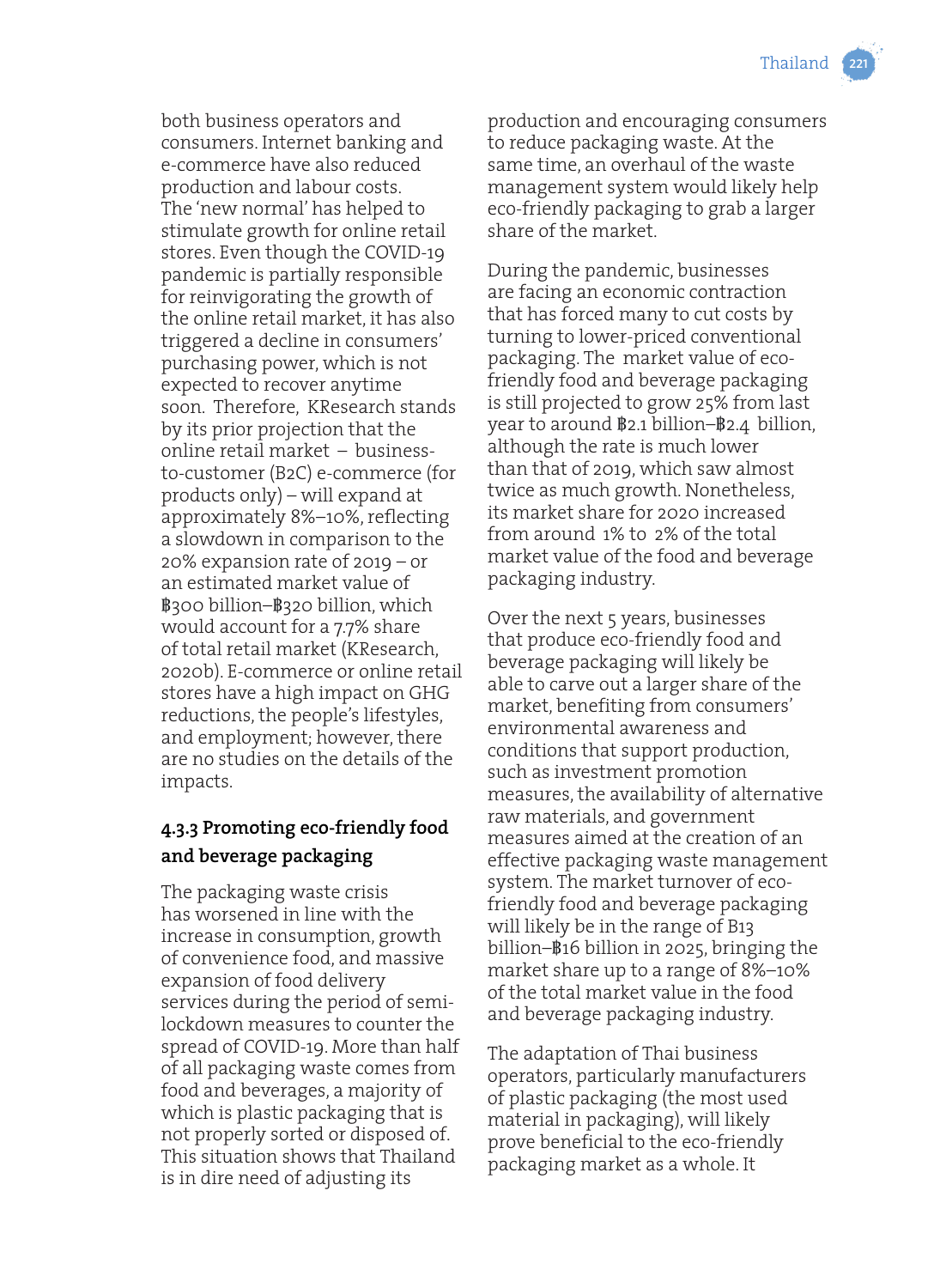both business operators and consumers. Internet banking and e-commerce have also reduced production and labour costs. The 'new normal' has helped to stimulate growth for online retail stores. Even though the COVID-19 pandemic is partially responsible for reinvigorating the growth of the online retail market, it has also triggered a decline in consumers' purchasing power, which is not expected to recover anytime soon. Therefore, KResearch stands by its prior projection that the online retail market – businessto-customer (B2C) e-commerce (for products only) – will expand at approximately 8%–10%, reflecting a slowdown in comparison to the 20% expansion rate of 2019 – or an estimated market value of ฿300 billion–฿320 billion, which would account for a 7.7% share of total retail market (KResearch, 2020b). E-commerce or online retail stores have a high impact on GHG reductions, the people's lifestyles, and employment; however, there are no studies on the details of the impacts.

## **4.3.3 Promoting eco-friendly food and beverage packaging**

The packaging waste crisis has worsened in line with the increase in consumption, growth of convenience food, and massive expansion of food delivery services during the period of semilockdown measures to counter the spread of COVID-19. More than half of all packaging waste comes from food and beverages, a majority of which is plastic packaging that is not properly sorted or disposed of. This situation shows that Thailand is in dire need of adjusting its

production and encouraging consumers to reduce packaging waste. At the same time, an overhaul of the waste management system would likely help eco-friendly packaging to grab a larger share of the market.

During the pandemic, businesses are facing an economic contraction that has forced many to cut costs by turning to lower-priced conventional packaging. The market value of ecofriendly food and beverage packaging is still projected to grow 25% from last year to around ฿2.1 billion–฿2.4 billion, although the rate is much lower than that of 2019, which saw almost twice as much growth. Nonetheless, its market share for 2020 increased from around 1% to 2% of the total market value of the food and beverage packaging industry.

Over the next 5 years, businesses that produce eco-friendly food and beverage packaging will likely be able to carve out a larger share of the market, benefiting from consumers' environmental awareness and conditions that support production, such as investment promotion measures, the availability of alternative raw materials, and government measures aimed at the creation of an effective packaging waste management system. The market turnover of ecofriendly food and beverage packaging will likely be in the range of B13 billion–฿16 billion in 2025, bringing the market share up to a range of 8%–10% of the total market value in the food and beverage packaging industry.

The adaptation of Thai business operators, particularly manufacturers of plastic packaging (the most used material in packaging), will likely prove beneficial to the eco-friendly packaging market as a whole. It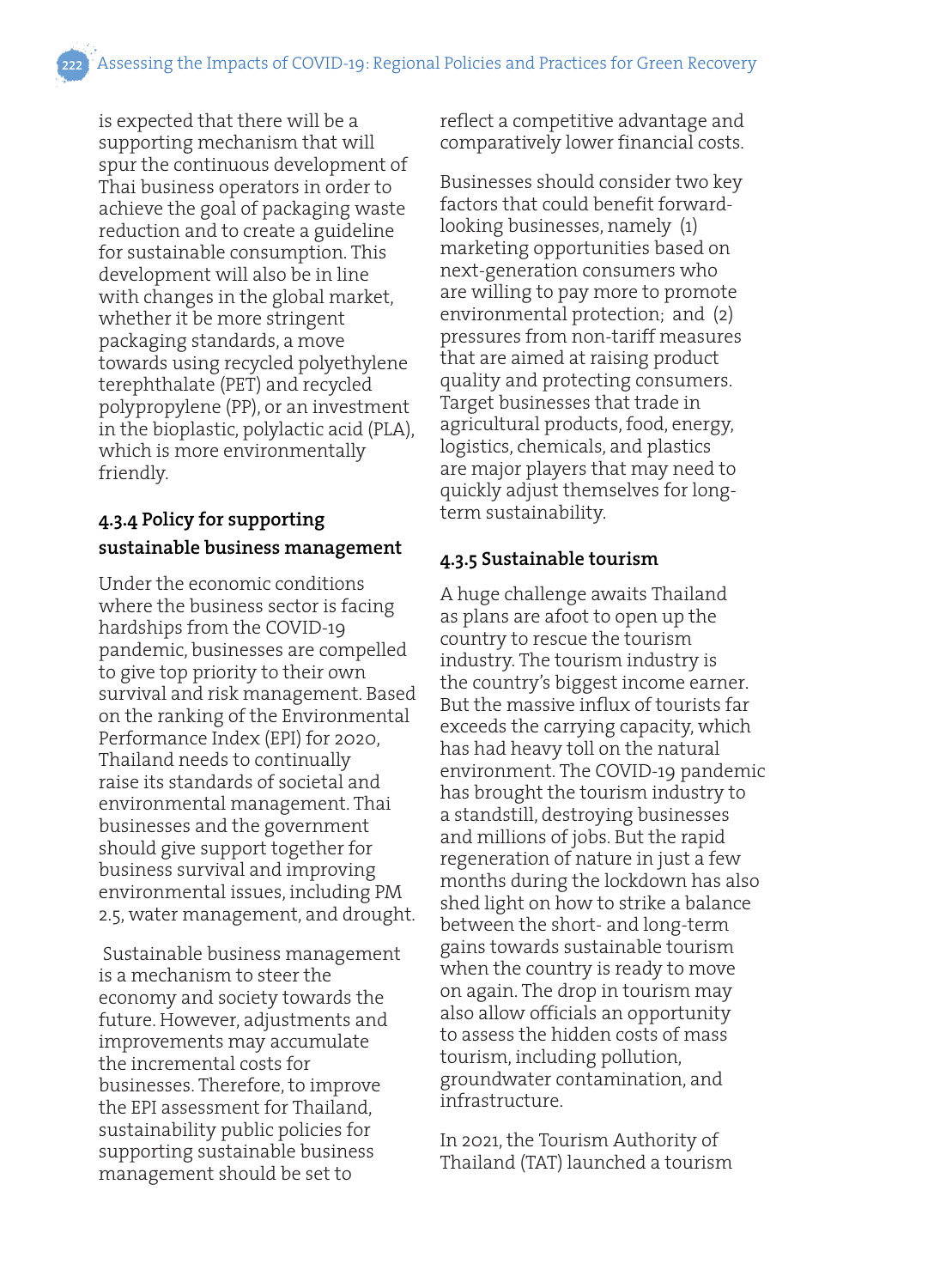is expected that there will be a supporting mechanism that will spur the continuous development of Thai business operators in order to achieve the goal of packaging waste reduction and to create a guideline for sustainable consumption. This development will also be in line with changes in the global market, whether it be more stringent packaging standards, a move towards using recycled polyethylene terephthalate (PET) and recycled polypropylene (PP), or an investment in the bioplastic, polylactic acid (PLA), which is more environmentally friendly.

## **4.3.4 Policy for supporting sustainable business management**

Under the economic conditions where the business sector is facing hardships from the COVID-19 pandemic, businesses are compelled to give top priority to their own survival and risk management. Based on the ranking of the Environmental Performance Index (EPI) for 2020, Thailand needs to continually raise its standards of societal and environmental management. Thai businesses and the government should give support together for business survival and improving environmental issues, including PM 2.5, water management, and drought.

 Sustainable business management is a mechanism to steer the economy and society towards the future. However, adjustments and improvements may accumulate the incremental costs for businesses. Therefore, to improve the EPI assessment for Thailand, sustainability public policies for supporting sustainable business management should be set to

reflect a competitive advantage and comparatively lower financial costs.

Businesses should consider two key factors that could benefit forwardlooking businesses, namely (1) marketing opportunities based on next-generation consumers who are willing to pay more to promote environmental protection; and (2) pressures from non-tariff measures that are aimed at raising product quality and protecting consumers. Target businesses that trade in agricultural products, food, energy, logistics, chemicals, and plastics are major players that may need to quickly adjust themselves for longterm sustainability.

#### **4.3.5 Sustainable tourism**

A huge challenge awaits Thailand as plans are afoot to open up the country to rescue the tourism industry. The tourism industry is the country's biggest income earner. But the massive influx of tourists far exceeds the carrying capacity, which has had heavy toll on the natural environment. The COVID-19 pandemic has brought the tourism industry to a standstill, destroying businesses and millions of jobs. But the rapid regeneration of nature in just a few months during the lockdown has also shed light on how to strike a balance between the short- and long-term gains towards sustainable tourism when the country is ready to move on again. The drop in tourism may also allow officials an opportunity to assess the hidden costs of mass tourism, including pollution, groundwater contamination, and infrastructure.

In 2021, the Tourism Authority of Thailand (TAT) launched a tourism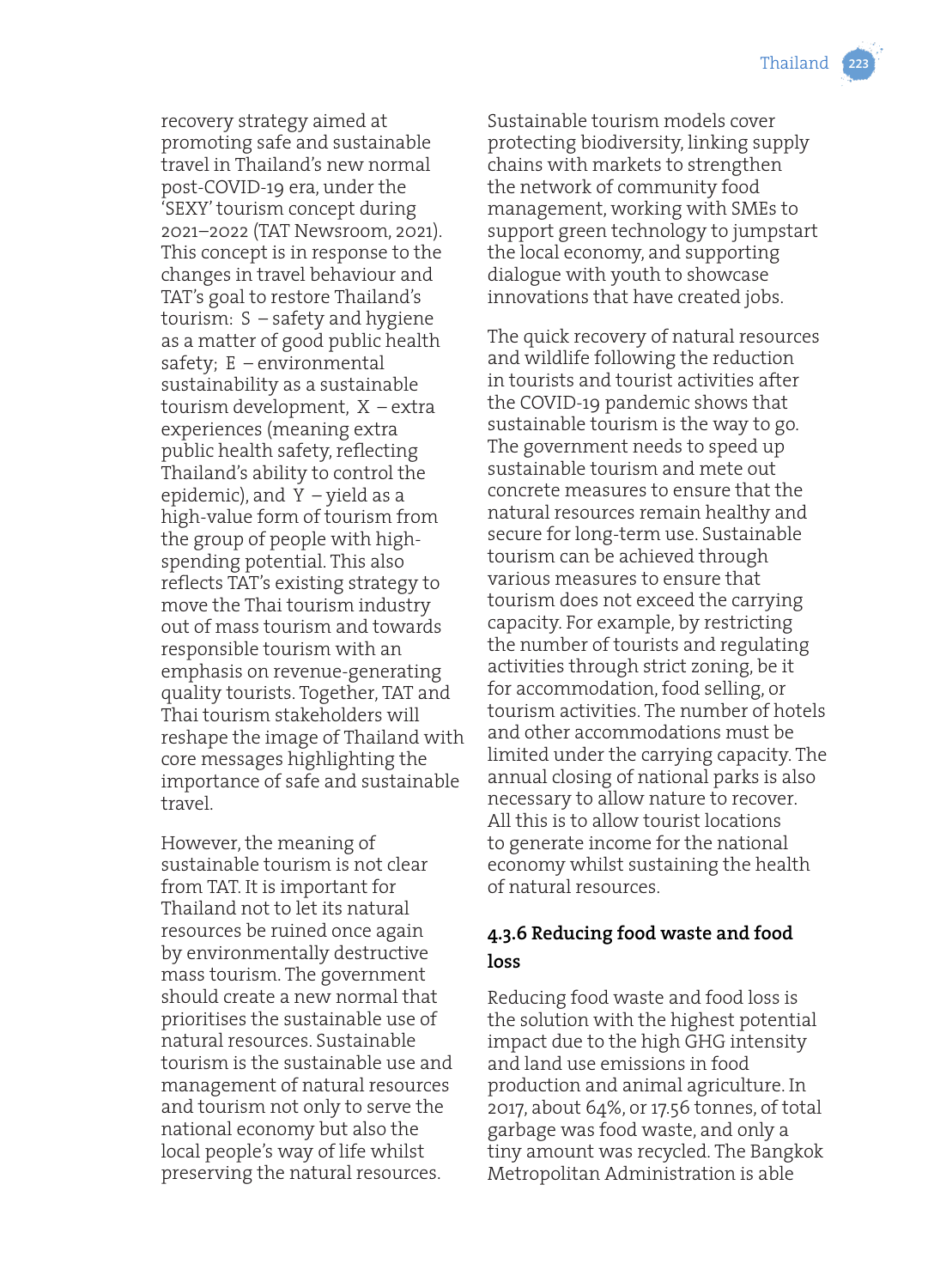

recovery strategy aimed at promoting safe and sustainable travel in Thailand's new normal post-COVID-19 era, under the 'SEXY' tourism concept during 2021–2022 (TAT Newsroom, 2021). This concept is in response to the changes in travel behaviour and TAT's goal to restore Thailand's tourism: S – safety and hygiene as a matter of good public health safety; E – environmental sustainability as a sustainable tourism development, X – extra experiences (meaning extra public health safety, reflecting Thailand's ability to control the epidemic), and Y – yield as a high-value form of tourism from the group of people with highspending potential. This also reflects TAT's existing strategy to move the Thai tourism industry out of mass tourism and towards responsible tourism with an emphasis on revenue-generating quality tourists. Together, TAT and Thai tourism stakeholders will reshape the image of Thailand with core messages highlighting the importance of safe and sustainable travel.

However, the meaning of sustainable tourism is not clear from TAT. It is important for Thailand not to let its natural resources be ruined once again by environmentally destructive mass tourism. The government should create a new normal that prioritises the sustainable use of natural resources. Sustainable tourism is the sustainable use and management of natural resources and tourism not only to serve the national economy but also the local people's way of life whilst preserving the natural resources.

Sustainable tourism models cover protecting biodiversity, linking supply chains with markets to strengthen the network of community food management, working with SMEs to support green technology to jumpstart the local economy, and supporting dialogue with youth to showcase innovations that have created jobs.

The quick recovery of natural resources and wildlife following the reduction in tourists and tourist activities after the COVID-19 pandemic shows that sustainable tourism is the way to go. The government needs to speed up sustainable tourism and mete out concrete measures to ensure that the natural resources remain healthy and secure for long-term use. Sustainable tourism can be achieved through various measures to ensure that tourism does not exceed the carrying capacity. For example, by restricting the number of tourists and regulating activities through strict zoning, be it for accommodation, food selling, or tourism activities. The number of hotels and other accommodations must be limited under the carrying capacity. The annual closing of national parks is also necessary to allow nature to recover. All this is to allow tourist locations to generate income for the national economy whilst sustaining the health of natural resources.

## **4.3.6 Reducing food waste and food loss**

Reducing food waste and food loss is the solution with the highest potential impact due to the high GHG intensity and land use emissions in food production and animal agriculture. In 2017, about 64%, or 17.56 tonnes, of total garbage was food waste, and only a tiny amount was recycled. The Bangkok Metropolitan Administration is able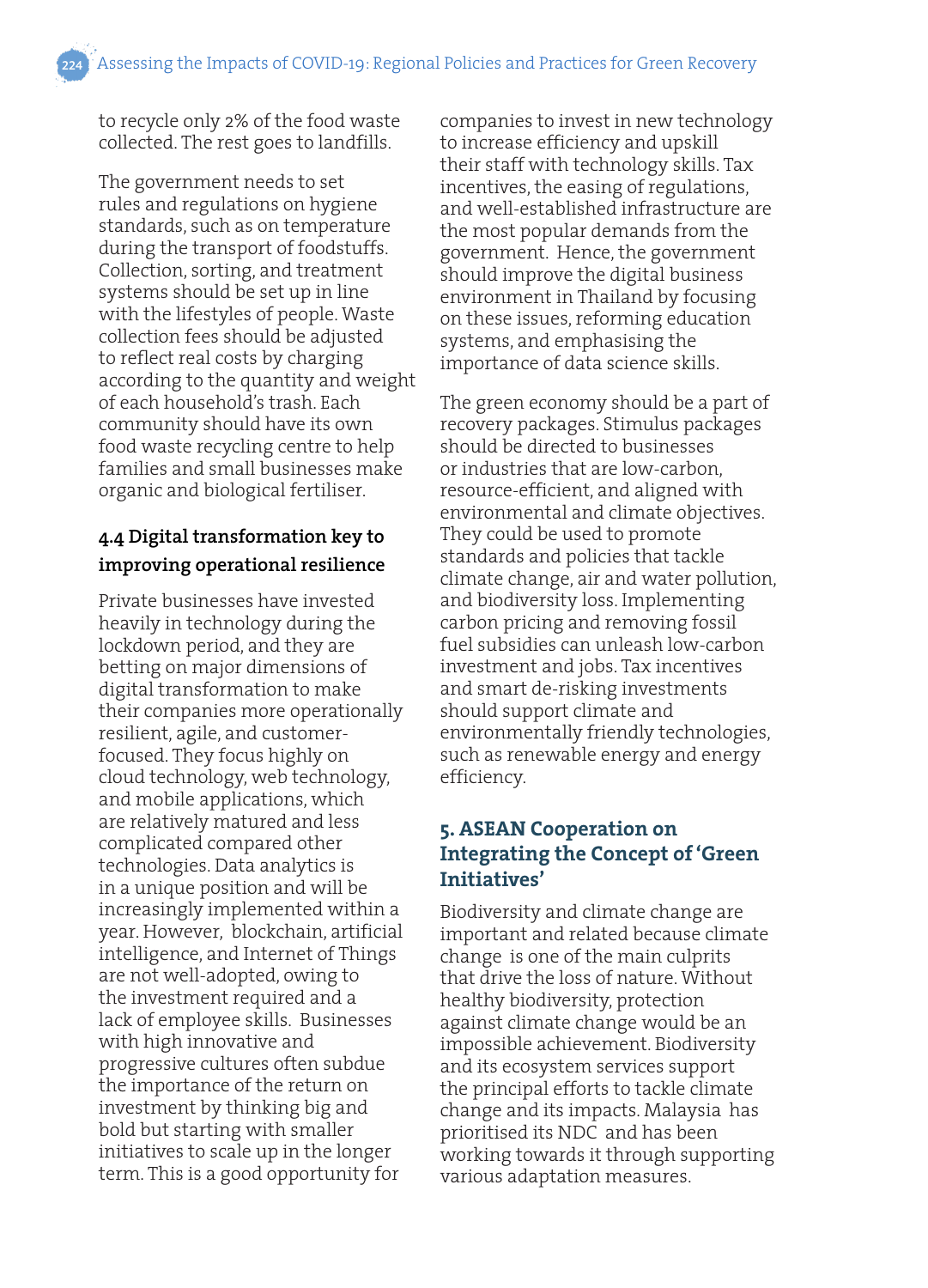to recycle only 2% of the food waste collected. The rest goes to landfills.

The government needs to set rules and regulations on hygiene standards, such as on temperature during the transport of foodstuffs. Collection, sorting, and treatment systems should be set up in line with the lifestyles of people. Waste collection fees should be adjusted to reflect real costs by charging according to the quantity and weight of each household's trash. Each community should have its own food waste recycling centre to help families and small businesses make organic and biological fertiliser.

## **4.4 Digital transformation key to improving operational resilience**

Private businesses have invested heavily in technology during the lockdown period, and they are betting on major dimensions of digital transformation to make their companies more operationally resilient, agile, and customerfocused. They focus highly on cloud technology, web technology, and mobile applications, which are relatively matured and less complicated compared other technologies. Data analytics is in a unique position and will be increasingly implemented within a year. However, blockchain, artificial intelligence, and Internet of Things are not well-adopted, owing to the investment required and a lack of employee skills. Businesses with high innovative and progressive cultures often subdue the importance of the return on investment by thinking big and bold but starting with smaller initiatives to scale up in the longer term. This is a good opportunity for

companies to invest in new technology to increase efficiency and upskill their staff with technology skills. Tax incentives, the easing of regulations, and well-established infrastructure are the most popular demands from the government. Hence, the government should improve the digital business environment in Thailand by focusing on these issues, reforming education systems, and emphasising the importance of data science skills.

The green economy should be a part of recovery packages. Stimulus packages should be directed to businesses or industries that are low-carbon, resource-efficient, and aligned with environmental and climate objectives. They could be used to promote standards and policies that tackle climate change, air and water pollution, and biodiversity loss. Implementing carbon pricing and removing fossil fuel subsidies can unleash low-carbon investment and jobs. Tax incentives and smart de-risking investments should support climate and environmentally friendly technologies, such as renewable energy and energy efficiency.

## **5. ASEAN Cooperation on Integrating the Concept of 'Green Initiatives'**

Biodiversity and climate change are important and related because climate change is one of the main culprits that drive the loss of nature. Without healthy biodiversity, protection against climate change would be an impossible achievement. Biodiversity and its ecosystem services support the principal efforts to tackle climate change and its impacts. Malaysia has prioritised its NDC and has been working towards it through supporting various adaptation measures.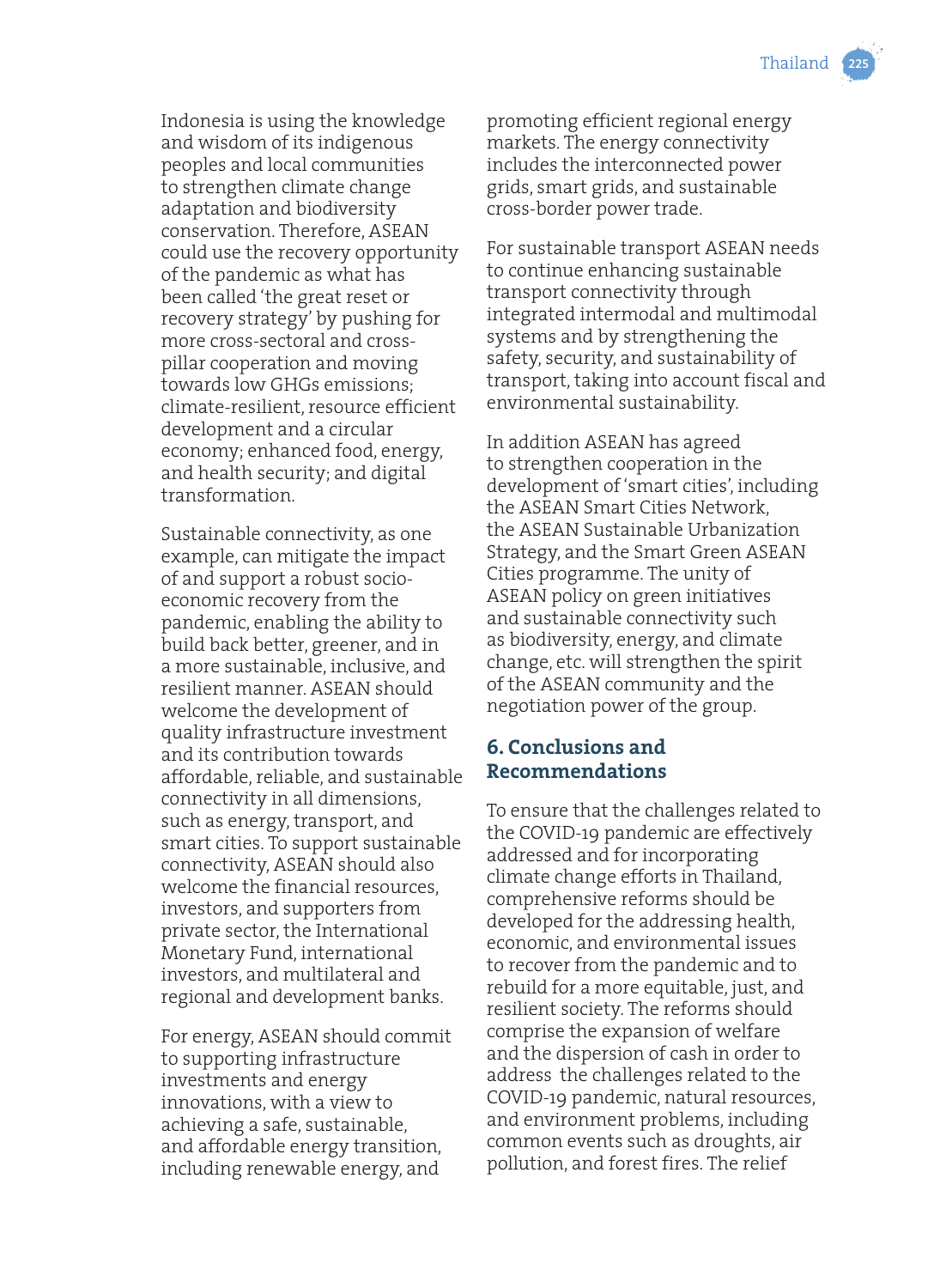

Indonesia is using the knowledge and wisdom of its indigenous peoples and local communities to strengthen climate change adaptation and biodiversity conservation. Therefore, ASEAN could use the recovery opportunity of the pandemic as what has been called 'the great reset or recovery strategy' by pushing for more cross-sectoral and crosspillar cooperation and moving towards low GHGs emissions; climate-resilient, resource efficient development and a circular economy; enhanced food, energy, and health security; and digital transformation.

Sustainable connectivity, as one example, can mitigate the impact of and support a robust socioeconomic recovery from the pandemic, enabling the ability to build back better, greener, and in a more sustainable, inclusive, and resilient manner. ASEAN should welcome the development of quality infrastructure investment and its contribution towards affordable, reliable, and sustainable connectivity in all dimensions, such as energy, transport, and smart cities. To support sustainable connectivity, ASEAN should also welcome the financial resources, investors, and supporters from private sector, the International Monetary Fund, international investors, and multilateral and regional and development banks.

For energy, ASEAN should commit to supporting infrastructure investments and energy innovations, with a view to achieving a safe, sustainable, and affordable energy transition, including renewable energy, and

promoting efficient regional energy markets. The energy connectivity includes the interconnected power grids, smart grids, and sustainable cross-border power trade.

For sustainable transport ASEAN needs to continue enhancing sustainable transport connectivity through integrated intermodal and multimodal systems and by strengthening the safety, security, and sustainability of transport, taking into account fiscal and environmental sustainability.

In addition ASEAN has agreed to strengthen cooperation in the development of 'smart cities', including the ASEAN Smart Cities Network, the ASEAN Sustainable Urbanization Strategy, and the Smart Green ASEAN Cities programme. The unity of ASEAN policy on green initiatives and sustainable connectivity such as biodiversity, energy, and climate change, etc. will strengthen the spirit of the ASEAN community and the negotiation power of the group.

## **6. Conclusions and Recommendations**

To ensure that the challenges related to the COVID-19 pandemic are effectively addressed and for incorporating climate change efforts in Thailand, comprehensive reforms should be developed for the addressing health, economic, and environmental issues to recover from the pandemic and to rebuild for a more equitable, just, and resilient society. The reforms should comprise the expansion of welfare and the dispersion of cash in order to address the challenges related to the COVID-19 pandemic, natural resources, and environment problems, including common events such as droughts, air pollution, and forest fires. The relief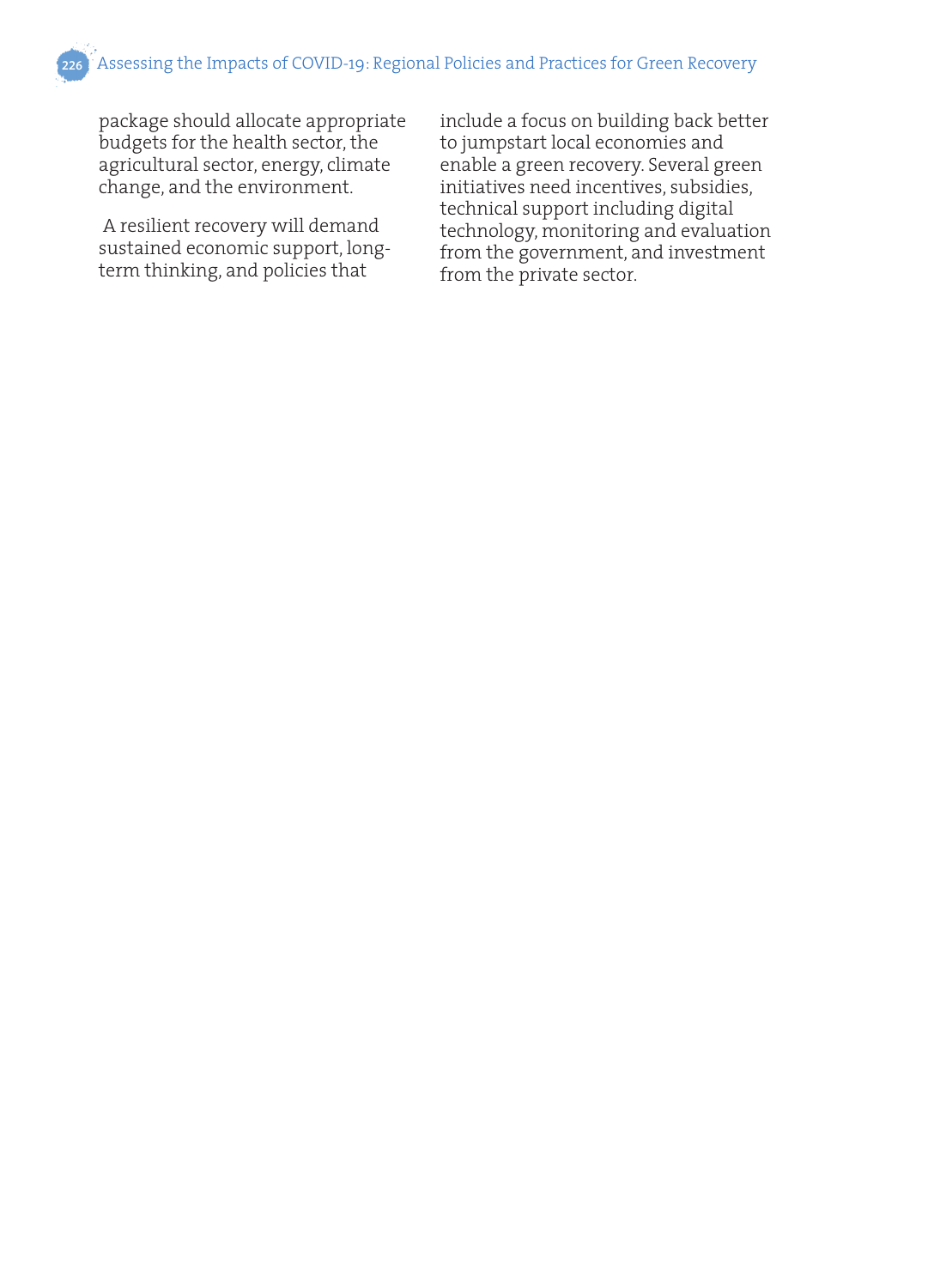package should allocate appropriate budgets for the health sector, the agricultural sector, energy, climate change, and the environment.

 A resilient recovery will demand sustained economic support, longterm thinking, and policies that

include a focus on building back better to jumpstart local economies and enable a green recovery. Several green initiatives need incentives, subsidies, technical support including digital technology, monitoring and evaluation from the government, and investment from the private sector.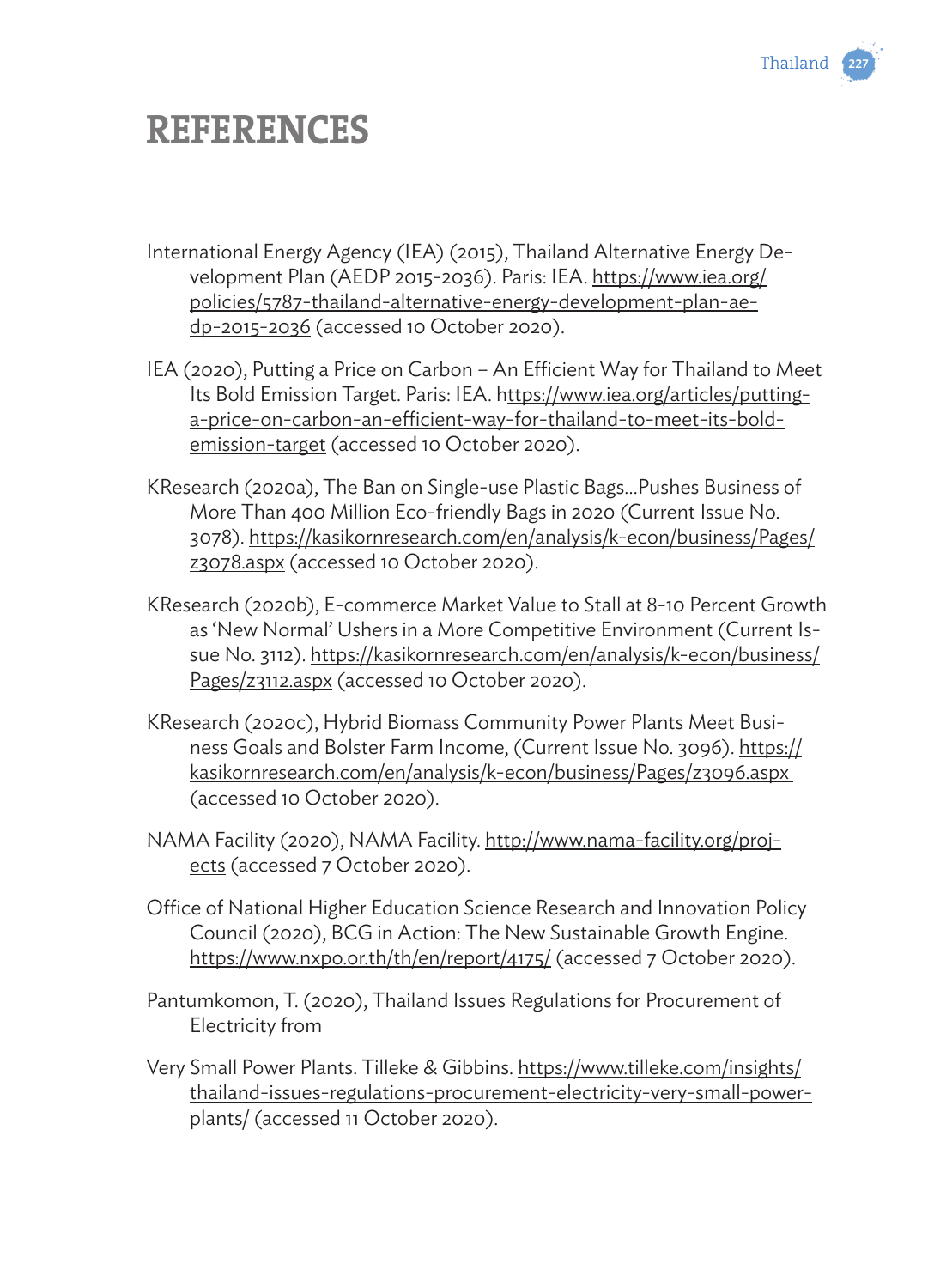

## **REFERENCES**

- International Energy Agency (IEA) (2015), Thailand Alternative Energy Development Plan (AEDP 2015-2036). Paris: IEA. https://www.iea.org/ policies/5787-thailand-alternative-energy-development-plan-aedp-2015-2036 (accessed 10 October 2020).
- IEA (2020), Putting a Price on Carbon An Efficient Way for Thailand to Meet Its Bold Emission Target. Paris: IEA. https://www.iea.org/articles/puttinga-price-on-carbon-an-efficient-way-for-thailand-to-meet-its-boldemission-target (accessed 10 October 2020).
- KResearch (2020a), The Ban on Single-use Plastic Bags…Pushes Business of More Than 400 Million Eco-friendly Bags in 2020 (Current Issue No. 3078). https://kasikornresearch.com/en/analysis/k-econ/business/Pages/ z3078.aspx (accessed 10 October 2020).
- KResearch (2020b), E-commerce Market Value to Stall at 8-10 Percent Growth as 'New Normal' Ushers in a More Competitive Environment (Current Issue No. 3112). https://kasikornresearch.com/en/analysis/k-econ/business/ Pages/z3112.aspx (accessed 10 October 2020).
- KResearch (2020c), Hybrid Biomass Community Power Plants Meet Business Goals and Bolster Farm Income, (Current Issue No. 3096). https:// kasikornresearch.com/en/analysis/k-econ/business/Pages/z3096.aspx (accessed 10 October 2020).
- NAMA Facility (2020), NAMA Facility. http://www.nama-facility.org/projects (accessed 7 October 2020).
- Office of National Higher Education Science Research and Innovation Policy Council (2020), BCG in Action: The New Sustainable Growth Engine. https://www.nxpo.or.th/th/en/report/4175/ (accessed 7 October 2020).
- Pantumkomon, T. (2020), Thailand Issues Regulations for Procurement of Electricity from
- Very Small Power Plants. Tilleke & Gibbins. https://www.tilleke.com/insights/ thailand-issues-regulations-procurement-electricity-very-small-powerplants/ (accessed 11 October 2020).